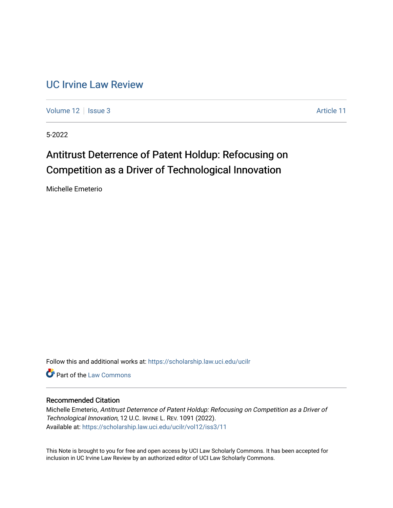# [UC Irvine Law Review](https://scholarship.law.uci.edu/ucilr)

[Volume 12](https://scholarship.law.uci.edu/ucilr/vol12) | [Issue 3](https://scholarship.law.uci.edu/ucilr/vol12/iss3) Article 11

5-2022

# Antitrust Deterrence of Patent Holdup: Refocusing on Competition as a Driver of Technological Innovation

Michelle Emeterio

Follow this and additional works at: [https://scholarship.law.uci.edu/ucilr](https://scholarship.law.uci.edu/ucilr?utm_source=scholarship.law.uci.edu%2Fucilr%2Fvol12%2Fiss3%2F11&utm_medium=PDF&utm_campaign=PDFCoverPages)

**C** Part of the [Law Commons](https://network.bepress.com/hgg/discipline/578?utm_source=scholarship.law.uci.edu%2Fucilr%2Fvol12%2Fiss3%2F11&utm_medium=PDF&utm_campaign=PDFCoverPages)

# Recommended Citation

Michelle Emeterio, Antitrust Deterrence of Patent Holdup: Refocusing on Competition as a Driver of Technological Innovation, 12 U.C. IRVINE L. REV. 1091 (2022). Available at: [https://scholarship.law.uci.edu/ucilr/vol12/iss3/11](https://scholarship.law.uci.edu/ucilr/vol12/iss3/11?utm_source=scholarship.law.uci.edu%2Fucilr%2Fvol12%2Fiss3%2F11&utm_medium=PDF&utm_campaign=PDFCoverPages) 

This Note is brought to you for free and open access by UCI Law Scholarly Commons. It has been accepted for inclusion in UC Irvine Law Review by an authorized editor of UCI Law Scholarly Commons.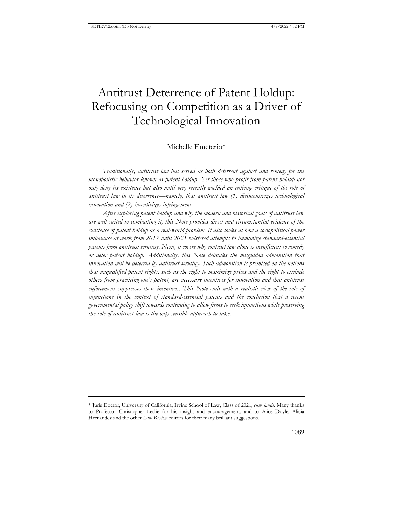# Antitrust Deterrence of Patent Holdup: Refocusing on Competition as a Driver of Technological Innovation

# Michelle Emeterio\*

*Traditionally, antitrust law has served as both deterrent against and remedy for the monopolistic behavior known as patent holdup. Yet those who profit from patent holdup not only deny its existence but also until very recently wielded an enticing critique of the role of antitrust law in its deterrence—namely, that antitrust law (1) disincentivizes technological innovation and (2) incentivizes infringement.*

*After exploring patent holdup and why the modern and historical goals of antitrust law are well suited to combatting it, this Note provides direct and circumstantial evidence of the existence of patent holdup as a real-world problem. It also looks at how a sociopolitical power imbalance at work from 2017 until 2021 bolstered attempts to immunize standard-essential patents from antitrust scrutiny. Next, it covers why contract law alone is insufficient to remedy or deter patent holdup. Additionally, this Note debunks the misguided admonition that innovation will be deterred by antitrust scrutiny. Such admonition is premised on the notions that unqualified patent rights, such as the right to maximize prices and the right to exclude others from practicing one's patent, are necessary incentives for innovation and that antitrust*  enforcement suppresses these incentives. This Note ends with a realistic view of the role of *injunctions in the context of standard-essential patents and the conclusion that a recent governmental policy shift towards continuing to allow firms to seek injunctions while preserving the role of antitrust law is the only sensible approach to take.*

<sup>\*</sup> Juris Doctor, University of California, Irvine School of Law, Class of 2021, *cum laude*. Many thanks to Professor Christopher Leslie for his insight and encouragement, and to Alice Doyle, Alicia Hernandez and the other *Law Review* editors for their many brilliant suggestions.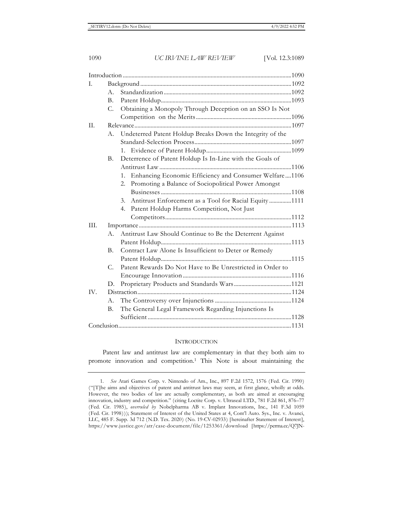| I.   |             |                                                             |  |
|------|-------------|-------------------------------------------------------------|--|
|      | $A_{-}$     |                                                             |  |
|      | Β.          |                                                             |  |
|      | $C_{\cdot}$ | Obtaining a Monopoly Through Deception on an SSO Is Not     |  |
|      |             |                                                             |  |
| II.  |             |                                                             |  |
|      | А.          | Undeterred Patent Holdup Breaks Down the Integrity of the   |  |
|      |             |                                                             |  |
|      |             |                                                             |  |
|      | <b>B.</b>   | Deterrence of Patent Holdup Is In-Line with the Goals of    |  |
|      |             |                                                             |  |
|      |             | 1. Enhancing Economic Efficiency and Consumer Welfare1106   |  |
|      |             | Promoting a Balance of Sociopolitical Power Amongst<br>2.   |  |
|      |             |                                                             |  |
|      |             | Antitrust Enforcement as a Tool for Racial Equity1111<br>3. |  |
|      |             | Patent Holdup Harms Competition, Not Just<br>4.             |  |
|      |             |                                                             |  |
| III. |             |                                                             |  |
|      | A.          | Antitrust Law Should Continue to Be the Deterrent Against   |  |
|      |             |                                                             |  |
|      | B.          | Contract Law Alone Is Insufficient to Deter or Remedy       |  |
|      |             |                                                             |  |
|      | $C_{\cdot}$ | Patent Rewards Do Not Have to Be Unrestricted in Order to   |  |
|      |             |                                                             |  |
|      | D.          |                                                             |  |
| IV.  |             |                                                             |  |
|      | А.          |                                                             |  |
|      | В.          | The General Legal Framework Regarding Injunctions Is        |  |
|      |             |                                                             |  |
|      |             |                                                             |  |
|      |             |                                                             |  |

# **INTRODUCTION**

Patent law and antitrust law are complementary in that they both aim to promote innovation and competition.1 This Note is about maintaining the

<sup>1</sup>*. See* Atari Games Corp. v. Nintendo of Am., Inc., 897 F.2d 1572, 1576 (Fed. Cir. 1990) ("[T]he aims and objectives of patent and antitrust laws may seem, at first glance, wholly at odds. However, the two bodies of law are actually complementary, as both are aimed at encouraging innovation, industry and competition." (citing Loctite Corp. v. Ultraseal LTD., 781 F.2d 861, 876–77 (Fed. Cir. 1985), *overruled by* Nobelpharma AB v. Implant Innovations, Inc., 141 F.3d 1059 (Fed. Cir. 1998))); Statement of Interest of the United States at 4, Cont'l Auto. Sys., Inc. v. Avanci, LLC, 485 F. Supp. 3d 712 (N.D. Tex. 2020) (No. 19-CV-02933) [hereinafter Statement of Interest], https://www.justice.gov/atr/case-document/file/1253361/download [https://perma.cc/Q7JN-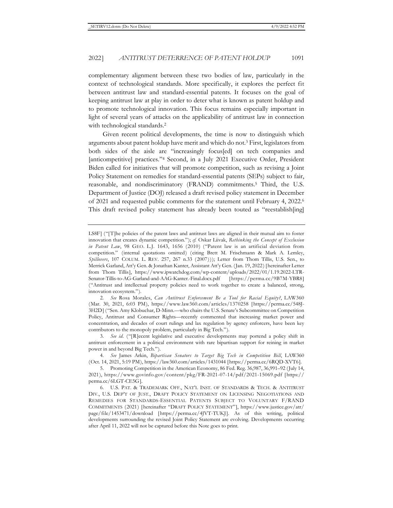complementary alignment between these two bodies of law, particularly in the context of technological standards. More specifically, it explores the perfect fit between antitrust law and standard-essential patents. It focuses on the goal of keeping antitrust law at play in order to deter what is known as patent holdup and to promote technological innovation. This focus remains especially important in light of several years of attacks on the applicability of antitrust law in connection with technological standards.<sup>2</sup>

Given recent political developments, the time is now to distinguish which arguments about patent holdup have merit and which do not.3 First, legislators from both sides of the aisle are "increasingly focus[ed] on tech companies and [anticompetitive] practices."4 Second, in a July 2021 Executive Order, President Biden called for initiatives that will promote competition, such as revising a Joint Policy Statement on remedies for standard-essential patents (SEPs) subject to fair, reasonable, and nondiscriminatory (FRAND) commitments.5 Third, the U.S. Department of Justice (DOJ) released a draft revised policy statement in December of 2021 and requested public comments for the statement until February 4, 2022.6 This draft revised policy statement has already been touted as "reestablish[ing]

LS8F] ("[T]he policies of the patent laws and antitrust laws are aligned in their mutual aim to foster innovation that creates dynamic competition."); *cf.* Oskar Liivak, *Rethinking the Concept of Exclusion in Patent Law*, 98 GEO. L.J. 1643, 1656 (2010) ("Patent law is an artificial deviation from competition." (internal quotations omitted) (citing Brett M. Frischmann & Mark A. Lemley, *Spillovers*, 107 COLUM. L. REV. 257, 267 n.33 (2007))); Letter from Thom Tillis, U.S. Sen., to Merrick Garland, Att'y Gen. & Jonathan Kanter, Assistant Att'y Gen. (Jan. 19, 2022) [hereinafter Letter from Thom Tillis], https://www.ipwatchdog.com/wp-content/uploads/2022/01/1.19.2022-LTR-Senator-Tillis-to-AG-Garland-and-AAG-Kanter.-Final.docx.pdf [https://perma.cc/9B7M-YBR8] ("Antitrust and intellectual property policies need to work together to create a balanced, strong, innovation ecosystem.").

<sup>2</sup>*. See* Rosa Morales, *Can Antitrust Enforcement Be a Tool for Racial Equity?*, LAW360 (Mar. 30, 2021, 6:03 PM), https://www.law360.com/articles/1370258 [https://perma.cc/548J-3H2D] ("Sen. Amy Klobuchar, D-Minn.—who chairs the U.S. Senate's Subcommittee on Competition Policy, Antitrust and Consumer Rights—recently commented that increasing market power and concentration, and decades of court rulings and lax regulation by agency enforcers, have been key contributors to the monopoly problem, particularly in Big Tech.").

<sup>3</sup>*. See id.* ("[R]ecent legislative and executive developments may portend a policy shift in antitrust enforcement in a political environment with rare bipartisan support for reining in market power in and beyond Big Tech.").

<sup>4</sup>*. See* James Arkin, *Bipartisan Senators to Target Big Tech in Competition Bill*, LAW360 (Oct. 14, 2021, 5:19 PM), https://law360.com/articles/1431044 [https://perma.cc/6RQD-XVT6].

<sup>5.</sup> Promoting Competition in the American Economy, 86 Fed. Reg. 36,987, 36,991–92 (July 14, 2021), https://www.govinfo.gov/content/pkg/FR-2021-07-14/pdf/2021-15069.pdf [https:// perma.cc/6LGT-CE5G].

<sup>6.</sup> U.S. PAT. & TRADEMARK OFF., NAT'L INST. OF STANDARDS & TECH. & ANTITRUST DIV., U.S. DEP'T OF JUST., DRAFT POLICY STATEMENT ON LICENSING NEGOTIATIONS AND REMEDIES FOR STANDARDS-ESSENTIAL PATENTS SUBJECT TO VOLUNTARY F/RAND COMMITMENTS (2021) [hereinafter "DRAFT POLICY STATEMENT"], https://www.justice.gov/atr/ page/file/1453471/download [https://perma.cc/4JVT-TUKJ]. As of this writing, political developments surrounding the revised Joint Policy Statement are evolving. Developments occurring after April 11, 2022 will not be captured before this Note goes to print.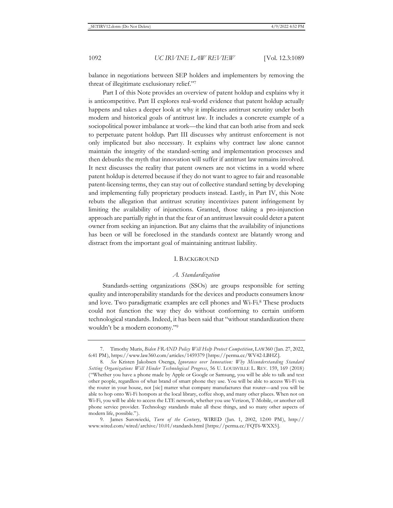balance in negotiations between SEP holders and implementers by removing the threat of illegitimate exclusionary relief."7

Part I of this Note provides an overview of patent holdup and explains why it is anticompetitive. Part II explores real-world evidence that patent holdup actually happens and takes a deeper look at why it implicates antitrust scrutiny under both modern and historical goals of antitrust law. It includes a concrete example of a sociopolitical power imbalance at work—the kind that can both arise from and seek to perpetuate patent holdup. Part III discusses why antitrust enforcement is not only implicated but also necessary. It explains why contract law alone cannot maintain the integrity of the standard-setting and implementation processes and then debunks the myth that innovation will suffer if antitrust law remains involved. It next discusses the reality that patent owners are not victims in a world where patent holdup is deterred because if they do not want to agree to fair and reasonable patent-licensing terms, they can stay out of collective standard setting by developing and implementing fully proprietary products instead. Lastly, in Part IV, this Note rebuts the allegation that antitrust scrutiny incentivizes patent infringement by limiting the availability of injunctions. Granted, those taking a pro-injunction approach are partially right in that the fear of an antitrust lawsuit could deter a patent owner from seeking an injunction. But any claims that the availability of injunctions has been or will be foreclosed in the standards context are blatantly wrong and distract from the important goal of maintaining antitrust liability.

# I. BACKGROUND

#### *A. Standardization*

Standards-setting organizations (SSOs) are groups responsible for setting quality and interoperability standards for the devices and products consumers know and love. Two paradigmatic examples are cell phones and Wi-Fi.8 These products could not function the way they do without conforming to certain uniform technological standards. Indeed, it has been said that "without standardization there wouldn't be a modern economy."9

<sup>7.</sup> Timothy Muris, *Biden FRAND Policy Will Help Protect Competition*, LAW360 (Jan. 27, 2022, 6:41 PM), https://www.law360.com/articles/1459379 [https://perma.cc/WV42-LBHZ].

<sup>8</sup>*. See* Kristen Jakobsen Osenga, *Ignorance over Innovation: Why Misunderstanding Standard Setting Organizations Will Hinder Technological Progress*, 56 U. LOUISVILLE L. REV. 159, 169 (2018) ("Whether you have a phone made by Apple or Google or Samsung, you will be able to talk and text other people, regardless of what brand of smart phone they use. You will be able to access Wi-Fi via the router in your house, not [sic] matter what company manufactures that router—and you will be able to hop onto Wi-Fi hotspots at the local library, coffee shop, and many other places. When not on Wi-Fi, you will be able to access the LTE network, whether you use Verizon, T-Mobile, or another cell phone service provider. Technology standards make all these things, and so many other aspects of modern life, possible.").

<sup>9.</sup> James Surowiecki, *Turn of the Century*, WIRED (Jan. 1, 2002, 12:00 PM), http:// www.wired.com/wired/archive/10.01/standards.html [https://perma.cc/FQT6-WXX5].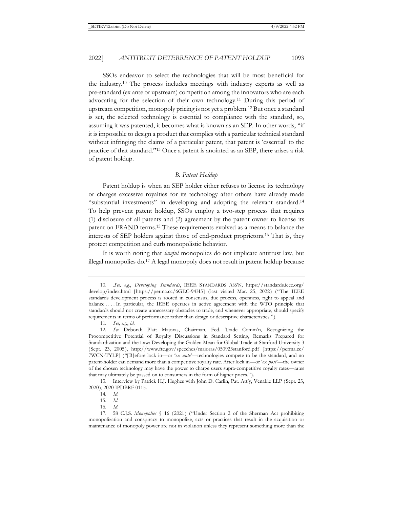SSOs endeavor to select the technologies that will be most beneficial for the industry.10 The process includes meetings with industry experts as well as pre-standard (ex ante or upstream) competition among the innovators who are each advocating for the selection of their own technology.11 During this period of upstream competition, monopoly pricing is not yet a problem.12 But once a standard is set, the selected technology is essential to compliance with the standard, so, assuming it was patented, it becomes what is known as an SEP. In other words, "if it is impossible to design a product that complies with a particular technical standard without infringing the claims of a particular patent, that patent is 'essential' to the practice of that standard."13 Once a patent is anointed as an SEP, there arises a risk of patent holdup.

# *B. Patent Holdup*

Patent holdup is when an SEP holder either refuses to license its technology or charges excessive royalties for its technology after others have already made "substantial investments" in developing and adopting the relevant standard.14 To help prevent patent holdup, SSOs employ a two-step process that requires (1) disclosure of all patents and (2) agreement by the patent owner to license its patent on FRAND terms.15 These requirements evolved as a means to balance the interests of SEP holders against those of end-product proprietors.16 That is, they protect competition and curb monopolistic behavior.

It is worth noting that *lawful* monopolies do not implicate antitrust law, but illegal monopolies do.17 A legal monopoly does not result in patent holdup because

13. Interview by Patrick H.J. Hughes with John D. Carlin, Pat. Att'y, Venable LLP (Sept. 23, 2020), 2020 IPDBRF 0115.

<sup>10. .</sup>*See, e.g.*, *Developing Standards*, IEEE STANDARDS ASS'N, https://standards.ieee.org/ develop/index.html [https://perma.cc/6GEC-94H5] (last visited Mar. 25, 2022) ("The IEEE standards development process is rooted in consensus, due process, openness, right to appeal and balance . . . . In particular, the IEEE operates in active agreement with the WTO principle that standards should not create unnecessary obstacles to trade, and whenever appropriate, should specify requirements in terms of performance rather than design or descriptive characteristics.").

<sup>11</sup>*. See, e.g.*, *id.*

<sup>12</sup>*. See* Deborah Platt Majoras, Chairman, Fed. Trade Comm'n, Recognizing the Procompetitive Potential of Royalty Discussions in Standard Setting, Remarks Prepared for Standardization and the Law: Developing the Golden Mean for Global Trade at Stanford University 3 (Sept. 23, 2005), http://www.ftc.gov/speeches/majoras/050923stanford.pdf [https://perma.cc/ 7WCN-TYLP] ("[B]efore lock in—or '*ex ante*'—technologies compete to be the standard, and no patent-holder can demand more than a competitive royalty rate. After lock in—or '*ex post*'—the owner of the chosen technology may have the power to charge users supra-competitive royalty rates—rates that may ultimately be passed on to consumers in the form of higher prices.").

<sup>14</sup>*. Id.*

<sup>15</sup>*. Id.*

<sup>16</sup>*. Id.*

<sup>17. 58</sup> C.J.S. *Monopolies* § 16 (2021) ("Under Section 2 of the Sherman Act prohibiting monopolization and conspiracy to monopolize, acts or practices that result in the acquisition or maintenance of monopoly power are not in violation unless they represent something more than the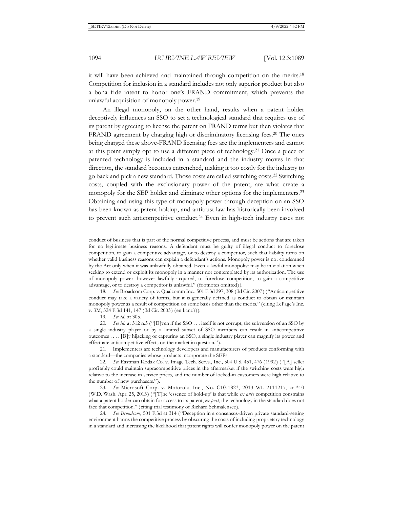it will have been achieved and maintained through competition on the merits.18 Competition for inclusion in a standard includes not only superior product but also a bona fide intent to honor one's FRAND commitment, which prevents the unlawful acquisition of monopoly power.19

An illegal monopoly, on the other hand, results when a patent holder deceptively influences an SSO to set a technological standard that requires use of its patent by agreeing to license the patent on FRAND terms but then violates that FRAND agreement by charging high or discriminatory licensing fees.<sup>20</sup> The ones being charged these above-FRAND licensing fees are the implementers and cannot at this point simply opt to use a different piece of technology.21 Once a piece of patented technology is included in a standard and the industry moves in that direction, the standard becomes entrenched, making it too costly for the industry to go back and pick a new standard. Those costs are called switching costs.22 Switching costs, coupled with the exclusionary power of the patent, are what create a monopoly for the SEP holder and eliminate other options for the implementers.<sup>23</sup> Obtaining and using this type of monopoly power through deception on an SSO has been known as patent holdup, and antitrust law has historically been involved to prevent such anticompetitive conduct.<sup>24</sup> Even in high-tech industry cases not

conduct of business that is part of the normal competitive process, and must be actions that are taken for no legitimate business reasons. A defendant must be guilty of illegal conduct to foreclose competition, to gain a competitive advantage, or to destroy a competitor, such that liability turns on whether valid business reasons can explain a defendant's actions. Monopoly power is not condemned by the Act only when it was unlawfully obtained. Even a lawful monopolist may be in violation when seeking to extend or exploit its monopoly in a manner not contemplated by its authorization. The use of monopoly power, however lawfully acquired, to foreclose competition, to gain a competitive advantage, or to destroy a competitor is unlawful." (footnotes omitted)).

18*. See* Broadcom Corp. v. Qualcomm Inc., 501 F.3d 297, 308 (3d Cir. 2007) ("Anticompetitive conduct may take a variety of forms, but it is generally defined as conduct to obtain or maintain monopoly power as a result of competition on some basis other than the merits." (citing LePage's Inc. v. 3M, 324 F.3d 141, 147 (3d Cir. 2003) (en banc))).

19*. See id.* at 305.

20*. See id.* at 312 n.5 ("[E]ven if the SSO . . . itself is not corrupt, the subversion of an SSO by a single industry player or by a limited subset of SSO members can result in anticompetitive outcomes . . . . [B]y hijacking or capturing an SSO, a single industry player can magnify its power and effectuate anticompetitive effects on the market in question.").

21. Implementers are technology developers and manufacturers of products conforming with a standard—the companies whose products incorporate the SEPs.

22*. See* Eastman Kodak Co. v. Image Tech. Servs., Inc., 504 U.S. 451, 476 (1992) ("[A] seller profitably could maintain supracompetitive prices in the aftermarket if the switching costs were high relative to the increase in service prices, and the number of locked-in customers were high relative to the number of new purchasers.").

23*. See* Microsoft Corp. v. Motorola, Inc., No. C10-1823, 2013 WL 2111217, at \*10 (W.D. Wash. Apr. 25, 2013) ("[T]he 'essence of hold-up' is that while *ex ante* competition constrains what a patent holder can obtain for access to its patent, *ex post*, the technology in the standard does not face that competition." (citing trial testimony of Richard Schmalensee).

24*. See Broadcom*, 501 F.3d at 314 ("Deception in a consensus-driven private standard-setting environment harms the competitive process by obscuring the costs of including proprietary technology in a standard and increasing the likelihood that patent rights will confer monopoly power on the patent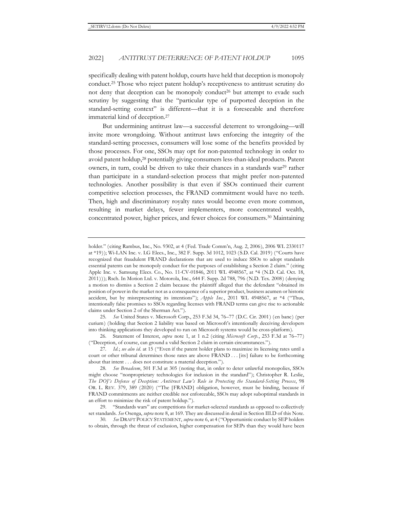specifically dealing with patent holdup, courts have held that deception is monopoly conduct.25 Those who reject patent holdup's receptiveness to antitrust scrutiny do not deny that deception can be monopoly conduct<sup>26</sup> but attempt to evade such scrutiny by suggesting that the "particular type of purported deception in the standard-setting context" is different—that it is a foreseeable and therefore immaterial kind of deception.27

But undermining antitrust law—a successful deterrent to wrongdoing—will invite more wrongdoing. Without antitrust laws enforcing the integrity of the standard-setting processes, consumers will lose some of the benefits provided by those processes. For one, SSOs may opt for non-patented technology in order to avoid patent holdup,28 potentially giving consumers less-than-ideal products. Patent owners, in turn, could be driven to take their chances in a standards war<sup>29</sup> rather than participate in a standard-selection process that might prefer non-patented technologies. Another possibility is that even if SSOs continued their current competitive selection processes, the FRAND commitment would have no teeth. Then, high and discriminatory royalty rates would become even more common, resulting in market delays, fewer implementers, more concentrated wealth, concentrated power, higher prices, and fewer choices for consumers.30 Maintaining

25*. See* United States v. Microsoft Corp., 253 F.3d 34, 76–77 (D.C. Cir. 2001) (en banc) (per curium) (holding that Section 2 liability was based on Microsoft's intentionally deceiving developers into thinking applications they developed to run on Microsoft systems would be cross-platform).

26. Statement of Interest, *supra* note 1, at 1 n.2 (citing *Microsoft Corp.*, 253 F.3d at 76–77) ("Deception, of course, can ground a valid Section 2 claim in certain circumstances.").

29. "Standards wars" are competitions for market-selected standards as opposed to collectively set standards. *See* Osenga, *supra* note 8, at 169. They are discussed in detail in Section III.D of this Note.

30*. See* DRAFT POLICY STATEMENT, *supra* note 6, at 4 ("Opportunistic conduct by SEP holders to obtain, through the threat of exclusion, higher compensation for SEPs than they would have been

holder." (citing Rambus, Inc., No. 9302, at 4 (Fed. Trade Comm'n, Aug. 2, 2006), 2006 WL 2330117 at \*19)); Wi-LAN Inc. v. LG Elecs., Inc., 382 F. Supp. 3d 1012, 1023 (S.D. Cal. 2019) ("Courts have recognized that fraudulent FRAND declarations that are used to induce SSOs to adopt standards essential patents can be monopoly conduct for the purposes of establishing a Section 2 claim." (citing Apple Inc. v. Samsung Elecs. Co., No. 11-CV-01846, 2011 WL 4948567, at \*4 (N.D. Cal. Oct. 18, 2011))); Rsch. In Motion Ltd. v. Motorola, Inc., 644 F. Supp. 2d 788, 796 (N.D. Tex. 2008) (denying a motion to dismiss a Section 2 claim because the plaintiff alleged that the defendant "obtained its position of power in the market not as a consequence of a superior product, business acumen or historic accident, but by misrepresenting its intentions"); *Apple Inc.*, 2011 WL 4948567, at \*4 ("Thus, intentionally false promises to SSOs regarding licenses with FRAND terms can give rise to actionable claims under Section 2 of the Sherman Act.").

<sup>27</sup>*. Id.*; *see also id.* at 15 ("Even if the patent holder plans to maximize its licensing rates until a court or other tribunal determines those rates are above FRAND . . . [its] failure to be forthcoming about that intent . . . does not constitute a material deception.").

<sup>28</sup>*. See Broadcom*, 501 F.3d at 305 (noting that, in order to deter unlawful monopolies, SSOs might choose "nonproprietary technologies for inclusion in the standard"); Christopher R. Leslie, *The DOJ's Defense of Deception: Antitrust Law's Role in Protecting the Standard-Setting Process*, 98 OR. L. REV. 379, 389 (2020) ("The [FRAND] obligation, however, must be binding, because if FRAND commitments are neither credible nor enforceable, SSOs may adopt suboptimal standards in an effort to minimize the risk of patent holdup.").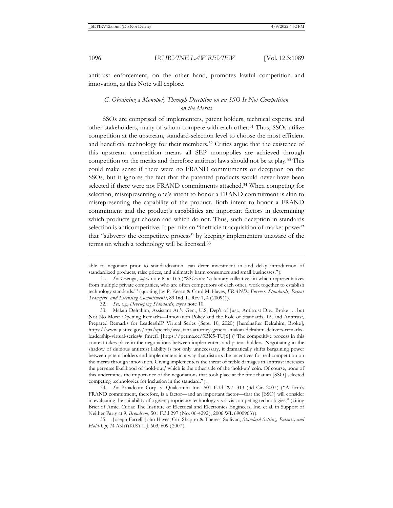antitrust enforcement, on the other hand, promotes lawful competition and innovation, as this Note will explore.

# *C. Obtaining a Monopoly Through Deception on an SSO Is Not Competition on the Merits*

SSOs are comprised of implementers, patent holders, technical experts, and other stakeholders, many of whom compete with each other.31 Thus, SSOs utilize competition at the upstream, standard-selection level to choose the most efficient and beneficial technology for their members.32 Critics argue that the existence of this upstream competition means all SEP monopolies are achieved through competition on the merits and therefore antitrust laws should not be at play.33 This could make sense if there were no FRAND commitments or deception on the SSOs, but it ignores the fact that the patented products would never have been selected if there were not FRAND commitments attached.<sup>34</sup> When competing for selection, misrepresenting one's intent to honor a FRAND commitment is akin to misrepresenting the capability of the product. Both intent to honor a FRAND commitment and the product's capabilities are important factors in determining which products get chosen and which do not. Thus, such deception in standards selection is anticompetitive. It permits an "inefficient acquisition of market power" that "subverts the competitive process" by keeping implementers unaware of the terms on which a technology will be licensed.35

34*. See* Broadcom Corp. v. Qualcomm Inc., 501 F.3d 297, 313 (3d Cir. 2007) ("A firm's FRAND commitment, therefore, is a factor—and an important factor—that the [SSO] will consider in evaluating the suitability of a given proprietary technology vis-a-vis competing technologies." (citing Brief of Amici Curiae The Institute of Electrical and Electronics Engineers, Inc. et al. in Support of Neither Party at 9, *Broadcom*, 501 F.3d 297 (No. 06-4292), 2006 WL 6900963)).

35. Joseph Farrell, John Hayes, Carl Shapiro & Theresa Sullivan, *Standard Setting, Patents, and Hold-Up*, 74 ANTITRUST L.J. 603, 609 (2007).

able to negotiate prior to standardization, can deter investment in and delay introduction of standardized products, raise prices, and ultimately harm consumers and small businesses.").

<sup>31</sup>*. See* Osenga, *supra* note 8, at 165 ("SSOs are 'voluntary collectives in which representatives from multiple private companies, who are often competitors of each other, work together to establish technology standards.'" (quoting Jay P. Kesan & Carol M. Hayes, *FRANDs Forever: Standards, Patent Transfers, and Licensing Commitments*, 89 Ind. L. Rev 1, 4 (2009))).

<sup>32</sup>*. See, e.g.*, *Developing Standards*, *supra* note 10.

<sup>33.</sup> Makan Delrahim, Assistant Att'y Gen., U.S. Dep't of Just., Antitrust Div., Broke . . . but Not No More: Opening Remarks—Innovation Policy and the Role of Standards, IP, and Antitrust, Prepared Remarks for LeadershIP Virtual Series (Sept. 10, 2020) [hereinafter Delrahim, Broke], https://www.justice.gov/opa/speech/assistant-attorney-general-makan-delrahim-delivers-remarksleadership-virtual-series#\_ftnref1 [https://perma.cc/3BK5-TUJ6] ("The competitive process in this context takes place in the negotiations between implementers and patent holders. Negotiating in the shadow of dubious antitrust liability is not only unnecessary, it dramatically shifts bargaining power between patent holders and implementers in a way that distorts the incentives for real competition on the merits through innovation. Giving implementers the threat of treble damages in antitrust increases the perverse likelihood of 'hold-out,' which is the other side of the 'hold-up' coin. Of course, none of this undermines the importance of the negotiations that took place at the time that an [SSO] selected competing technologies for inclusion in the standard.").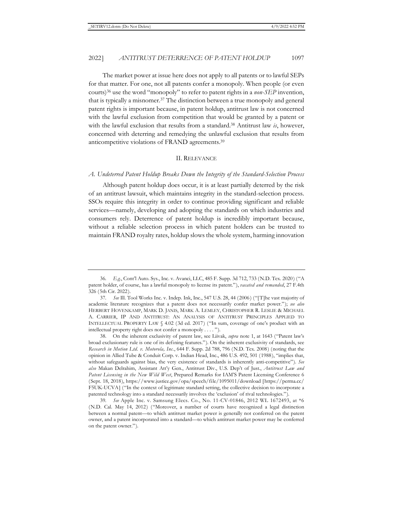The market power at issue here does not apply to all patents or to lawful SEPs for that matter. For one, not all patents confer a monopoly. When people (or even courts)36 use the word "monopoly" to refer to patent rights in a *non-SEP* invention, that is typically a misnomer.37 The distinction between a true monopoly and general patent rights is important because, in patent holdup, antitrust law is not concerned with the lawful exclusion from competition that would be granted by a patent or with the lawful exclusion that results from a standard.38 Antitrust law *is*, however, concerned with deterring and remedying the unlawful exclusion that results from anticompetitive violations of FRAND agreements.39

#### II. RELEVANCE

# *A. Undeterred Patent Holdup Breaks Down the Integrity of the Standard-Selection Process*

Although patent holdup does occur, it is at least partially deterred by the risk of an antitrust lawsuit, which maintains integrity in the standard-selection process. SSOs require this integrity in order to continue providing significant and reliable services—namely, developing and adopting the standards on which industries and consumers rely. Deterrence of patent holdup is incredibly important because, without a reliable selection process in which patent holders can be trusted to maintain FRAND royalty rates, holdup slows the whole system, harming innovation

<sup>36</sup>*. E.g.*, Cont'l Auto. Sys., Inc. v. Avanci, LLC, 485 F. Supp. 3d 712, 733 (N.D. Tex. 2020) ("A patent holder, of course, has a lawful monopoly to license its patent."), *vacated and remanded*, 27 F.4th 326 (5th Cir. 2022).

<sup>37</sup>*. See* Ill. Tool Works Inc. v. Indep. Ink, Inc., 547 U.S. 28, 44 (2006) ("[T]he vast majority of academic literature recognizes that a patent does not necessarily confer market power."); *see also* HERBERT HOVENKAMP, MARK D. JANIS, MARK A. LEMLEY, CHRISTOPHER R. LESLIE & MICHAEL A. CARRIER, IP AND ANTITRUST: AN ANALYSIS OF ANTITRUST PRINCIPLES APPLIED TO INTELLECTUAL PROPERTY LAW § 4.02 (3d ed. 2017) ("In sum, coverage of one's product with an intellectual property right does not confer a monopoly . . . . ").

<sup>38.</sup> On the inherent exclusivity of patent law, see Liivak, *supra* note 1, at 1643 ("Patent law's broad exclusionary rule is one of its defining features."). On the inherent exclusivity of standards, see *Research in Motion Ltd. v. Motorola, Inc.*, 644 F. Supp. 2d 788, 796 (N.D. Tex. 2008) (noting that the opinion in Allied Tube & Conduit Corp. v. Indian Head, Inc., 486 U.S. 492, 501 (1988), "implies that, without safeguards against bias, the very existence of standards is inherently anti-competitive"). *See also* Makan Delrahim, Assistant Att'y Gen., Antitrust Div., U.S. Dep't of Just., *Antitrust Law and Patent Licensing in the New Wild West*, Prepared Remarks for IAM'S Patent Licensing Conference 6 (Sept. 18, 2018), https://www.justice.gov/opa/speech/file/1095011/download [https://perma.cc/ F5UK-UCVA] ("In the context of legitimate standard setting, the collective decision to incorporate a patented technology into a standard necessarily involves the 'exclusion' of rival technologies.").

<sup>39</sup>*. See* Apple Inc. v. Samsung Elecs. Co., No. 11-CV-01846, 2012 WL 1672493, at \*6 (N.D. Cal. May 14, 2012) ("Moreover, a number of courts have recognized a legal distinction between a normal patent—to which antitrust market power is generally not conferred on the patent owner, and a patent incorporated into a standard—to which antitrust market power may be conferred on the patent owner.").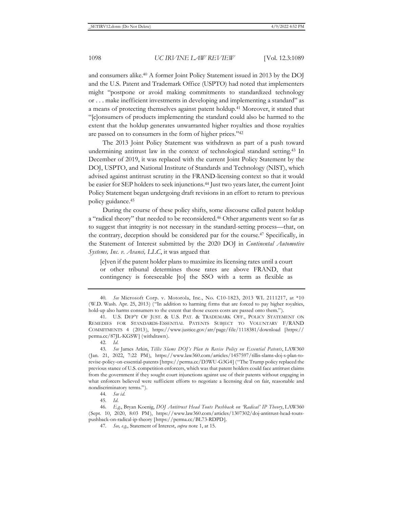and consumers alike.40 A former Joint Policy Statement issued in 2013 by the DOJ and the U.S. Patent and Trademark Office (USPTO) had noted that implementers might "postpone or avoid making commitments to standardized technology or . . . make inefficient investments in developing and implementing a standard" as a means of protecting themselves against patent holdup.41 Moreover, it stated that "[c]onsumers of products implementing the standard could also be harmed to the extent that the holdup generates unwarranted higher royalties and those royalties are passed on to consumers in the form of higher prices."42

The 2013 Joint Policy Statement was withdrawn as part of a push toward undermining antitrust law in the context of technological standard setting.43 In December of 2019, it was replaced with the current Joint Policy Statement by the DOJ, USPTO, and National Institute of Standards and Technology (NIST), which advised against antitrust scrutiny in the FRAND-licensing context so that it would be easier for SEP holders to seek injunctions.44 Just two years later, the current Joint Policy Statement began undergoing draft revisions in an effort to return to previous policy guidance.45

During the course of these policy shifts, some discourse called patent holdup a "radical theory" that needed to be reconsidered.46 Other arguments went so far as to suggest that integrity is not necessary in the standard-setting process—that, on the contrary, deception should be considered par for the course.47 Specifically, in the Statement of Interest submitted by the 2020 DOJ in *Continental Automotive Systems, Inc. v. Avanci, LLC*, it was argued that

[e]ven if the patent holder plans to maximize its licensing rates until a court or other tribunal determines those rates are above FRAND, that contingency is foreseeable [to] the SSO with a term as flexible as

<sup>40</sup>*. See* Microsoft Corp. v. Motorola, Inc., No. C10-1823, 2013 WL 2111217, at \*10 (W.D. Wash. Apr. 25, 2013) ("In addition to harming firms that are forced to pay higher royalties, hold-up also harms consumers to the extent that those excess costs are passed onto them.").

<sup>41.</sup> U.S. DEP'T OF JUST. & U.S. PAT. & TRADEMARK OFF., POLICY STATEMENT ON REMEDIES FOR STANDARDS-ESSENTIAL PATENTS SUBJECT TO VOLUNTARY F/RAND COMMITMENTS 4 (2013), https://www.justice.gov/atr/page/file/1118381/download [https:// perma.cc/87JL-KGSW] (withdrawn).

<sup>42</sup>*. Id.*

<sup>43</sup>*. See* James Arkin, *Tillis Slams DOJ's Plan to Revise Policy on Essential Patents*, LAW360 (Jan. 21, 2022, 7:22 PM), https://www.law360.com/articles/1457597/tillis-slams-doj-s-plan-torevise-policy-on-essential-patents [https://perma.cc/D3WU-G3G4] ("The Trump policy replaced the previous stance of U.S. competition enforcers, which was that patent holders could face antitrust claims from the government if they sought court injunctions against use of their patents without engaging in what enforcers believed were sufficient efforts to negotiate a licensing deal on fair, reasonable and nondiscriminatory terms.").

<sup>44</sup>*. See id.*

<sup>45</sup>*. Id.*

<sup>46</sup>*. E.g.*, Bryan Koenig, *DOJ Antitrust Head Touts Pushback on 'Radical' IP Theory*, LAW360 (Sept. 10, 2020, 8:03 PM), https://www.law360.com/articles/1307302/doj-antitrust-head-toutspushback-on-radical-ip-theory [https://perma.cc/BL73-RDPD].

<sup>47</sup>*. See, e.g.*, Statement of Interest, *supra* note 1, at 15.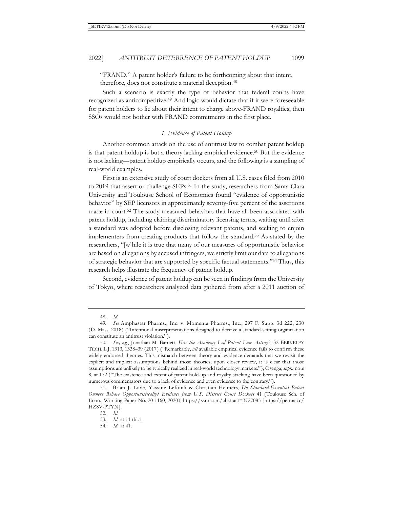"FRAND." A patent holder's failure to be forthcoming about that intent, therefore, does not constitute a material deception.<sup>48</sup>

Such a scenario is exactly the type of behavior that federal courts have recognized as anticompetitive.49 And logic would dictate that if it were foreseeable for patent holders to lie about their intent to charge above-FRAND royalties, then SSOs would not bother with FRAND commitments in the first place.

# *1. Evidence of Patent Holdup*

Another common attack on the use of antitrust law to combat patent holdup is that patent holdup is but a theory lacking empirical evidence.<sup>50</sup> But the evidence is not lacking—patent holdup empirically occurs, and the following is a sampling of real-world examples.

First is an extensive study of court dockets from all U.S. cases filed from 2010 to 2019 that assert or challenge SEPs.51 In the study, researchers from Santa Clara University and Toulouse School of Economics found "evidence of opportunistic behavior" by SEP licensors in approximately seventy-five percent of the assertions made in court.52 The study measured behaviors that have all been associated with patent holdup, including claiming discriminatory licensing terms, waiting until after a standard was adopted before disclosing relevant patents, and seeking to enjoin implementers from creating products that follow the standard.53 As stated by the researchers, "[w]hile it is true that many of our measures of opportunistic behavior are based on allegations by accused infringers, we strictly limit our data to allegations of strategic behavior that are supported by specific factual statements."54 Thus, this research helps illustrate the frequency of patent holdup.

Second, evidence of patent holdup can be seen in findings from the University of Tokyo, where researchers analyzed data gathered from after a 2011 auction of

<sup>48</sup>*. Id.*

<sup>49</sup>*. See* Amphastar Pharms., Inc. v. Momenta Pharms., Inc., 297 F. Supp. 3d 222, 230 (D. Mass. 2018) ("Intentional misrepresentations designed to deceive a standard-setting organization can constitute an antitrust violation.").

<sup>50</sup>*. See, e.g.*, Jonathan M. Barnett, *Has the Academy Led Patent Law Astray?*, 32 BERKELEY TECH. L.J. 1313, 1338–39 (2017) ("Remarkably, *all* available empirical evidence fails to confirm these widely endorsed theories. This mismatch between theory and evidence demands that we revisit the explicit and implicit assumptions behind those theories; upon closer review, it is clear that those assumptions are unlikely to be typically realized in real-world technology markets."); Osenga, *supra* note 8, at 172 ("The existence and extent of patent hold-up and royalty stacking have been questioned by numerous commentators due to a lack of evidence and even evidence to the contrary.").

<sup>51.</sup> Brian J. Love, Yassine Lefouili & Christian Helmers, *Do Standard-Essential Patent Owners Behave Opportunistically? Evidence from U.S. District Court Dockets* 41 (Toulouse Sch. of Econ., Working Paper No. 20-1160, 2020), https://ssrn.com/abstract=3727085 [https://perma.cc/ HZ8V-PTYN].

<sup>52</sup>*. Id.*

<sup>53</sup>*. Id.* at 11 tbl.1.

<sup>54</sup>*. Id.* at 41.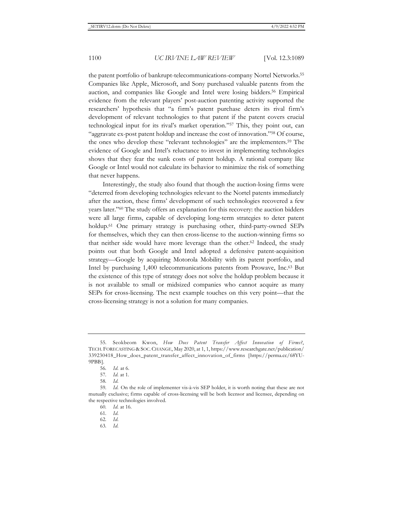the patent portfolio of bankrupt-telecommunications-company Nortel Networks.<sup>55</sup> Companies like Apple, Microsoft, and Sony purchased valuable patents from the auction, and companies like Google and Intel were losing bidders.56 Empirical evidence from the relevant players' post-auction patenting activity supported the researchers' hypothesis that "a firm's patent purchase deters its rival firm's development of relevant technologies to that patent if the patent covers crucial technological input for its rival's market operation."57 This, they point out, can "aggravate ex-post patent holdup and increase the cost of innovation."58 Of course, the ones who develop these "relevant technologies" are the implementers.59 The evidence of Google and Intel's reluctance to invest in implementing technologies shows that they fear the sunk costs of patent holdup. A rational company like Google or Intel would not calculate its behavior to minimize the risk of something that never happens.

Interestingly, the study also found that though the auction-losing firms were "deterred from developing technologies relevant to the Nortel patents immediately after the auction, these firms' development of such technologies recovered a few years later."60 The study offers an explanation for this recovery: the auction bidders were all large firms, capable of developing long-term strategies to deter patent holdup.<sup>61</sup> One primary strategy is purchasing other, third-party-owned SEPs for themselves, which they can then cross-license to the auction-winning firms so that neither side would have more leverage than the other.<sup>62</sup> Indeed, the study points out that both Google and Intel adopted a defensive patent-acquisition strategy—Google by acquiring Motorola Mobility with its patent portfolio, and Intel by purchasing 1,400 telecommunications patents from Prowave, Inc.<sup>63</sup> But the existence of this type of strategy does not solve the holdup problem because it is not available to small or midsized companies who cannot acquire as many SEPs for cross-licensing. The next example touches on this very point—that the cross-licensing strategy is not a solution for many companies.

63*. Id.*

<sup>55.</sup> Seokbeom Kwon, *How Does Patent Transfer Affect Innovation of Firms?*, TECH. FORECASTING & SOC. CHANGE, May 2020, at 1, 1, https://www.researchgate.net/publication/ 339230418\_How\_does\_patent\_transfer\_affect\_innovation\_of\_firms [https://perma.cc/68YU-9PBB].

<sup>56</sup>*. Id.* at 6.

<sup>57</sup>*. Id.* at 1.

<sup>58</sup>*. Id.*

<sup>59</sup>*. Id.* On the role of implementer vis-à-vis SEP holder, it is worth noting that these are not mutually exclusive; firms capable of cross-licensing will be both licensor and licensee, depending on the respective technologies involved.

<sup>60</sup>*. Id.* at 16.

<sup>61</sup>*. Id.*

<sup>62</sup>*. Id.*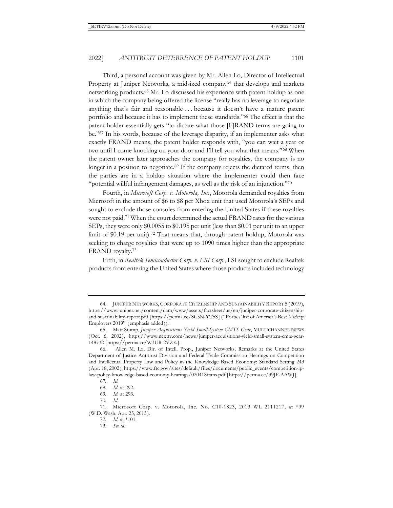Third, a personal account was given by Mr. Allen Lo, Director of Intellectual Property at Juniper Networks, a midsized company<sup>64</sup> that develops and markets networking products.65 Mr. Lo discussed his experience with patent holdup as one in which the company being offered the license "really has no leverage to negotiate anything that's fair and reasonable . . . because it doesn't have a mature patent portfolio and because it has to implement these standards."66 The effect is that the patent holder essentially gets "to dictate what those [F]RAND terms are going to be."67 In his words, because of the leverage disparity, if an implementer asks what exactly FRAND means, the patent holder responds with, "you can wait a year or two until I come knocking on your door and I'll tell you what that means."68 When the patent owner later approaches the company for royalties, the company is no longer in a position to negotiate.<sup>69</sup> If the company rejects the dictated terms, then the parties are in a holdup situation where the implementer could then face "potential willful infringement damages, as well as the risk of an injunction."70

Fourth, in *Microsoft Corp. v. Motorola, Inc.*, Motorola demanded royalties from Microsoft in the amount of \$6 to \$8 per Xbox unit that used Motorola's SEPs and sought to exclude those consoles from entering the United States if these royalties were not paid.<sup>71</sup> When the court determined the actual FRAND rates for the various SEPs, they were only \$0.0055 to \$0.195 per unit (less than \$0.01 per unit to an upper limit of \$0.19 per unit).72 That means that, through patent holdup, Motorola was seeking to charge royalties that were up to 1090 times higher than the appropriate FRAND royalty.73

Fifth, in *Realtek Semiconductor Corp. v. LSI Corp*., LSI sought to exclude Realtek products from entering the United States where those products included technology

<sup>64.</sup> JUNIPER NETWORKS, CORPORATE CITIZENSHIP AND SUSTAINABILITY REPORT 5 (2019), https://www.juniper.net/content/dam/www/assets/factsheet/us/en/juniper-corporate-citizenshipand-sustainability-report.pdf [https://perma.cc/SC5N-YT5S] ("Forbes' list of America's Best *Midsize* Employers 2019" (emphasis added)).

<sup>65.</sup> Matt Stump, *Juniper Acquisitions Yield Small-System CMTS Gear*, MULTICHANNEL NEWS (Oct. 6, 2002), https://www.nexttv.com/news/juniper-acquisitions-yield-small-system-cmts-gear-148732 [https://perma.cc/W3UR-2VZK].

<sup>66.</sup> Allen M. Lo, Dir. of Intell. Prop., Juniper Networks, Remarks at the United States Department of Justice Antitrust Division and Federal Trade Commission Hearings on Competition and Intellectual Property Law and Policy in the Knowledge Based Economy: Standard Setting 243 (Apr. 18, 2002), https://www.ftc.gov/sites/default/files/documents/public\_events/competition-iplaw-policy-knowledge-based-economy-hearings/020418trans.pdf [https://perma.cc/39JF-AAWJ].

<sup>67</sup>*. Id.*

<sup>68</sup>*. Id.* at 292.

<sup>69</sup>*. Id.* at 293.

<sup>70</sup>*. Id.*

<sup>71.</sup> Microsoft Corp. v. Motorola, Inc. No. C10-1823, 2013 WL 2111217, at \*99 (W.D. Wash. Apr. 25, 2013).

<sup>72</sup>*. Id.* at \*101.

<sup>73</sup>*. See id.*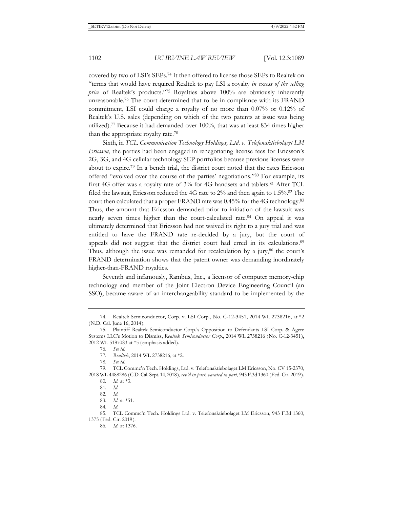covered by two of LSI's SEPs.74 It then offered to license those SEPs to Realtek on "terms that would have required Realtek to pay LSI a royalty *in excess of the selling price* of Realtek's products."75 Royalties above 100% are obviously inherently unreasonable.76 The court determined that to be in compliance with its FRAND commitment, LSI could charge a royalty of no more than 0.07% or 0.12% of Realtek's U.S. sales (depending on which of the two patents at issue was being utilized).77 Because it had demanded over 100%, that was at least 834 times higher than the appropriate royalty rate.78

Sixth, in *TCL Communication Technology Holdings, Ltd. v. Telefonaktiebolaget LM Ericsson*, the parties had been engaged in renegotiating license fees for Ericsson's 2G, 3G, and 4G cellular technology SEP portfolios because previous licenses were about to expire.79 In a bench trial, the district court noted that the rates Ericsson offered "evolved over the course of the parties' negotiations."80 For example, its first 4G offer was a royalty rate of 3% for 4G handsets and tablets.81 After TCL filed the lawsuit, Ericsson reduced the 4G rate to 2% and then again to 1.5%.82 The court then calculated that a proper FRAND rate was 0.45% for the 4G technology.83 Thus, the amount that Ericsson demanded prior to initiation of the lawsuit was nearly seven times higher than the court-calculated rate.84 On appeal it was ultimately determined that Ericsson had not waived its right to a jury trial and was entitled to have the FRAND rate re-decided by a jury, but the court of appeals did not suggest that the district court had erred in its calculations.85 Thus, although the issue was remanded for recalculation by a jury,  $86$  the court's FRAND determination shows that the patent owner was demanding inordinately higher-than-FRAND royalties.

Seventh and infamously, Rambus, Inc., a licensor of computer memory-chip technology and member of the Joint Electron Device Engineering Council (an SSO), became aware of an interchangeability standard to be implemented by the

<sup>74.</sup> Realtek Semiconductor, Corp. v. LSI Corp., No. C-12-3451, 2014 WL 2738216, at \*2 (N.D. Cal. June 16, 2014).

<sup>75.</sup> Plaintiff Realtek Semiconductor Corp.'s Opposition to Defendants LSI Corp. & Agere Systems LLC's Motion to Dismiss, *Realtek Semiconductor Corp*., 2014 WL 2738216 (No. C-12-3451), 2012 WL 5187083 at \*5 (emphasis added).

<sup>76</sup>*. See id.*

<sup>77</sup>*. Realtek*, 2014 WL 2738216, at \*2.

<sup>78</sup>*. See id.*

<sup>79.</sup> TCL Commc'n Tech. Holdings, Ltd. v. Telefonaktiebolaget LM Ericsson, No. CV 15-2370, 2018 WL 4488286 (C.D. Cal. Sept. 14, 2018), *rev'd in part, vacated in part*, 943 F.3d 1360 (Fed. Cir. 2019).

<sup>80</sup>*. Id.* at \*3.

<sup>81</sup>*. Id.*

<sup>82</sup>*. Id.*

<sup>83</sup>*. Id.* at \*51.

<sup>84</sup>*. Id.*

<sup>85.</sup> TCL Commc'n Tech. Holdings Ltd. v. Telefonaktiebolaget LM Ericsson, 943 F.3d 1360, 1375 (Fed. Cir. 2019).

<sup>86</sup>*. Id.* at 1376.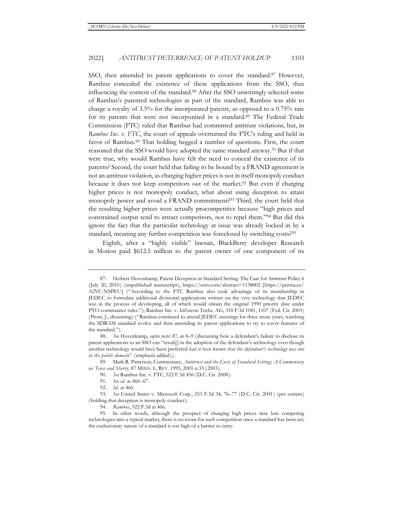SSO, then amended its patent applications to cover the standard.<sup>87</sup> However, Rambus concealed the existence of these applications from the SSO, thus influencing the content of the standard.88 After the SSO unwittingly selected some of Rambus's patented technologies as part of the standard, Rambus was able to charge a royalty of 3.5% for the incorporated patents, as opposed to a 0.75% rate for its patents that were not incorporated in a standard.<sup>89</sup> The Federal Trade Commission (FTC) ruled that Rambus had committed antitrust violations, but, in *Rambus Inc. v. FTC*, the court of appeals overturned the FTC's ruling and held in favor of Rambus.<sup>90</sup> That holding begged a number of questions. First, the court reasoned that the SSO would have adopted the same standard anyway.91 But if that were true, why would Rambus have felt the need to conceal the existence of its patents? Second, the court held that failing to be bound by a FRAND agreement is not an antitrust violation, as charging higher prices is not in itself monopoly conduct because it does not keep competitors out of the market.92 But even if charging higher prices is not monopoly conduct, what about using deception to attain monopoly power and avoid a FRAND commitment?93 Third, the court held that the resulting higher prices were actually procompetitive because "high prices and constrained output tend to attract competitors, not to repel them."94 But did this ignore the fact that the particular technology at issue was already locked in by a standard, meaning any further competition was foreclosed by switching costs?<sup>95</sup>

Eighth, after a "highly visible" lawsuit, BlackBerry developer Research in Motion paid \$612.5 million to the patent owner of one component of its

<sup>87.</sup> Herbert Hovenkamp, Patent Deception in Standard Setting: The Case for Antitrust Policy 6 (July 20, 2010) (unpublished manuscript), https://ssrn.com/abstract=1138002 [https://perma.cc/ A2VC-NMWU] ("According to the FTC Rambus also took advantage of its membership in JEDEC to formulate additional divisional applications written on the very technology that JEDEC was in the process of developing, all of which would obtain the original 1990 priority date under PTO continuance rules."); Rambus Inc. v. Infineon Techs. AG, 318 F.3d 1081, 1107 (Fed. Cir. 2003) (Prost, J., dissenting) ("Rambus continued to attend JEDEC meetings for three more years, watching the SDRAM standard evolve and then amending its patent applications to try to cover features of the standard.").

<sup>88</sup>*. See* Hovenkamp, *supra* note 87, at 8–9 (discussing how a defendant's failure to disclose its patent applications to an SSO can "result[] in the adoption of the defendant's technology even though another technology would have been preferred *had it been known that the defendant's technology was not in the public domain*" (emphasis added)).

<sup>89.</sup> Mark R. Patterson, Commentary, *Antitrust and the Costs of Standard-Setting: A Commentary on Teece and Sherry*, 87 MINN. L. REV. 1995, 2001 n.33 (2003).

<sup>90</sup>*. See* Rambus Inc. v. FTC, 522 F.3d 456 (D.C. Cir. 2008).

<sup>91</sup>*. See id.* at 466–67.

<sup>92</sup>*. Id.* at 466.

<sup>93</sup>*. See* United States v. Microsoft Corp., 253 F.3d 34, 76–77 (D.C. Cir. 2001) (per curiam) (holding that deception is monopoly conduct).

<sup>94</sup>*. Rambus*, 522 F.3d at 466.

<sup>95.</sup> In other words, although the prospect of charging high prices may lure competing technologies into a typical market, there is no room for such competition once a standard has been set; the exclusionary nature of a standard is too high of a barrier to entry.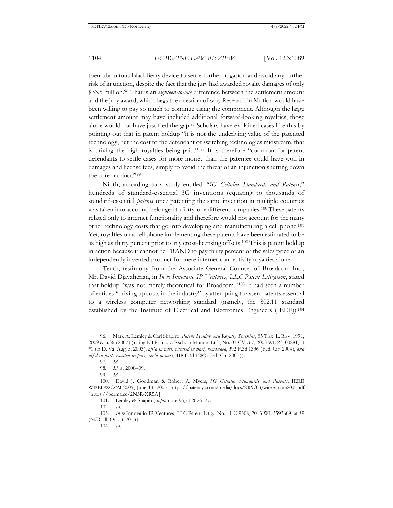then-ubiquitous BlackBerry device to settle further litigation and avoid any further risk of injunction, despite the fact that the jury had awarded royalty damages of only \$33.5 million.96 That is an *eighteen-to-one* difference between the settlement amount and the jury award, which begs the question of why Research in Motion would have been willing to pay so much to continue using the component. Although the large settlement amount may have included additional forward-looking royalties, those alone would not have justified the gap.97 Scholars have explained cases like this by pointing out that in patent holdup "it is not the underlying value of the patented technology, but the cost to the defendant of switching technologies midstream, that is driving the high royalties being paid." 98 It is therefore "common for patent defendants to settle cases for more money than the patentee could have won in damages and license fees, simply to avoid the threat of an injunction shutting down the core product."99

Ninth, according to a study entitled *"3G Cellular Standards and Patents*," hundreds of standard-essential 3G inventions (equating to thousands of standard-essential *patents* once patenting the same invention in multiple countries was taken into account) belonged to forty-one different companies.100 These patents related only to internet functionality and therefore would not account for the many other technology costs that go into developing and manufacturing a cell phone.101 Yet, royalties on a cell phone implementing these patents have been estimated to be as high as thirty percent prior to any cross-licensing offsets.102 This is patent holdup in action because it cannot be FRAND to pay thirty percent of the sales price of an independently invented product for mere internet connectivity royalties alone.

Tenth, testimony from the Associate General Counsel of Broadcom Inc., Mr. David Djavaherian, in *In re Innovatio IP Ventures, LLC Patent Litigation*, stated that holdup "was not merely theoretical for Broadcom."103 It had seen a number of entities "driving up costs in the industry" by attempting to assert patents essential to a wireless computer networking standard (namely, the 802.11 standard established by the Institute of Electrical and Electronics Engineers (IEEE)).104

<sup>96.</sup> Mark A. Lemley & Carl Shapiro, *Patent Holdup and Royalty Stacking*, 85 TEX. L. REV. 1991, 2009 & n.36 (2007) (citing NTP, Inc. v. Rsch. in Motion, Ltd., No. 01 CV 767, 2003 WL 23100881, at \*1 (E.D. Va. Aug. 5, 2003), *aff'd in part, vacated in part, remanded*, 392 F.3d 1336 (Fed. Cir. 2004), *and aff'd in part, vacated in part, rev'd in part*, 418 F.3d 1282 (Fed. Cir. 2005)).

<sup>97</sup>*. Id.*

<sup>98</sup>*. Id.* at 2008–09.

<sup>99</sup>*. Id.*

<sup>100.</sup> David J. Goodman & Robert A. Myers, *3G Cellular Standards and Patents*, IEEE WIRELESSCOM 2005, June 13, 2005, https://patentlyo.com/media/docs/2009/03/wirelesscom2005.pdf [https://perma.cc/2N3R-XR5A].

<sup>101.</sup> Lemley & Shapiro, *supra* note 96, at 2026–27.

<sup>102</sup>*. Id.*

<sup>103</sup>*. In re* Innovatio IP Ventures, LLC Patent Litig., No. 11 C 9308, 2013 WL 5593609, at \*9 (N.D. Ill. Oct. 3, 2013).

<sup>104</sup>*. Id.*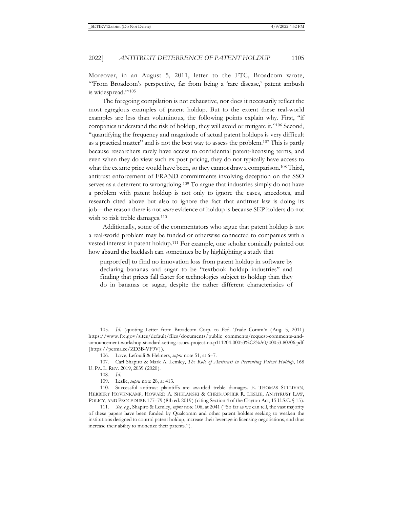Moreover, in an August 5, 2011, letter to the FTC, Broadcom wrote, "From Broadcom's perspective, far from being a 'rare disease,' patent ambush is widespread.'"105

The foregoing compilation is not exhaustive, nor does it necessarily reflect the most egregious examples of patent holdup. But to the extent these real-world examples are less than voluminous, the following points explain why. First, "if companies understand the risk of holdup, they will avoid or mitigate it."106 Second, "quantifying the frequency and magnitude of actual patent holdups is very difficult as a practical matter" and is not the best way to assess the problem.107 This is partly because researchers rarely have access to confidential patent-licensing terms, and even when they do view such ex post pricing, they do not typically have access to what the ex ante price would have been, so they cannot draw a comparison.<sup>108</sup> Third, antitrust enforcement of FRAND commitments involving deception on the SSO serves as a deterrent to wrongdoing.<sup>109</sup> To argue that industries simply do not have a problem with patent holdup is not only to ignore the cases, anecdotes, and research cited above but also to ignore the fact that antitrust law is doing its job—the reason there is not *more* evidence of holdup is because SEP holders do not wish to risk treble damages.<sup>110</sup>

Additionally, some of the commentators who argue that patent holdup is not a real-world problem may be funded or otherwise connected to companies with a vested interest in patent holdup.111 For example, one scholar comically pointed out how absurd the backlash can sometimes be by highlighting a study that

purport[ed] to find no innovation loss from patent holdup in software by declaring bananas and sugar to be "textbook holdup industries" and finding that prices fall faster for technologies subject to holdup than they do in bananas or sugar, despite the rather different characteristics of

<sup>105</sup>*. Id.* (quoting Letter from Broadcom Corp. to Fed. Trade Comm'n (Aug. 5, 2011) https://www.ftc.gov/sites/default/files/documents/public\_comments/request-comments-andannouncement-workshop-standard-setting-issues-project-no.p111204-00053%C2%A0/00053-80206.pdf [https://perma.cc/ZD3B-VF9V]).

<sup>106.</sup> Love, Lefouili & Helmers, *supra* note 51, at 6–7.

<sup>107.</sup> Carl Shapiro & Mark A. Lemley, *The Role of Antitrust in Preventing Patent Holdup*, 168 U. PA. L. REV. 2019, 2039 (2020).

<sup>108</sup>*. Id.*

<sup>109.</sup> Leslie, *supra* note 28, at 413.

<sup>110.</sup> Successful antitrust plaintiffs are awarded treble damages. E. THOMAS SULLIVAN, HERBERT HOVENKAMP, HOWARD A. SHELANSKI & CHRISTOPHER R. LESLIE, ANTITRUST LAW, POLICY, AND PROCEDURE 177–79 (8th ed. 2019) (citing Section 4 of the Clayton Act, 15 U.S.C. § 15).

<sup>111</sup>*. See, e.g.*, Shapiro & Lemley, *supra* note 106, at 2041 ("So far as we can tell, the vast majority of these papers have been funded by Qualcomm and other patent holders seeking to weaken the institutions designed to control patent holdup, increase their leverage in licensing negotiations, and thus increase their ability to monetize their patents.").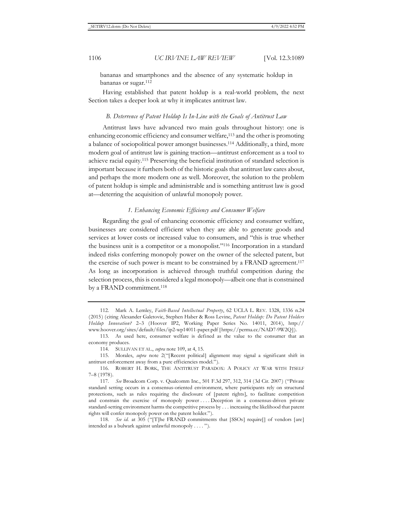bananas and smartphones and the absence of any systematic holdup in bananas or sugar.112

Having established that patent holdup is a real-world problem, the next Section takes a deeper look at why it implicates antitrust law.

#### *B. Deterrence of Patent Holdup Is In-Line with the Goals of Antitrust Law*

Antitrust laws have advanced two main goals throughout history: one is enhancing economic efficiency and consumer welfare,<sup>113</sup> and the other is promoting a balance of sociopolitical power amongst businesses.114 Additionally, a third, more modern goal of antitrust law is gaining traction—antitrust enforcement as a tool to achieve racial equity.115 Preserving the beneficial institution of standard selection is important because it furthers both of the historic goals that antitrust law cares about, and perhaps the more modern one as well. Moreover, the solution to the problem of patent holdup is simple and administrable and is something antitrust law is good at—deterring the acquisition of unlawful monopoly power.

# *1. Enhancing Economic Efficiency and Consumer Welfare*

Regarding the goal of enhancing economic efficiency and consumer welfare, businesses are considered efficient when they are able to generate goods and services at lower costs or increased value to consumers, and "this is true whether the business unit is a competitor or a monopolist."116 Incorporation in a standard indeed risks conferring monopoly power on the owner of the selected patent, but the exercise of such power is meant to be constrained by a FRAND agreement.<sup>117</sup> As long as incorporation is achieved through truthful competition during the selection process, this is considered a legal monopoly—albeit one that is constrained by a FRAND commitment.<sup>118</sup>

<sup>112.</sup> Mark A. Lemley, *Faith-Based Intellectual Property*, 62 UCLA L. REV. 1328, 1336 n.24 (2015) (citing Alexander Galetovic, Stephen Haber & Ross Levine, *Patent Holdup: Do Patent Holders Holdup Innovation?* 2–3 (Hoover IP2, Working Paper Series No. 14011, 2014), http:// www.hoover.org/sites/default/files/ip2-wp14011-paper.pdf [https://perma.cc/NAD7-9W2Q]).

<sup>113.</sup> As used here, consumer welfare is defined as the value to the consumer that an economy produces.

<sup>114.</sup> SULLIVAN ET AL., *supra* note 109, at 4, 15.

<sup>115.</sup> Morales, *supra* note 2("[Recent political] alignment may signal a significant shift in antitrust enforcement away from a pure efficiencies model.").

<sup>116.</sup> ROBERT H. BORK, THE ANTITRUST PARADOX: A POLICY AT WAR WITH ITSELF 7–8 (1978).

<sup>117</sup>*. See* Broadcom Corp. v. Qualcomm Inc., 501 F.3d 297, 312, 314 (3d Cir. 2007) ("Private standard setting occurs in a consensus-oriented environment, where participants rely on structural protections, such as rules requiring the disclosure of [patent rights], to facilitate competition and constrain the exercise of monopoly power . . . . Deception in a consensus-driven private standard-setting environment harms the competitive process by . . . increasing the likelihood that patent rights will confer monopoly power on the patent holder.").

<sup>118</sup>*. See id.* at 305 ("[T]he FRAND commitments that [SSOs] require[] of vendors [are] intended as a bulwark against unlawful monopoly . . . . ").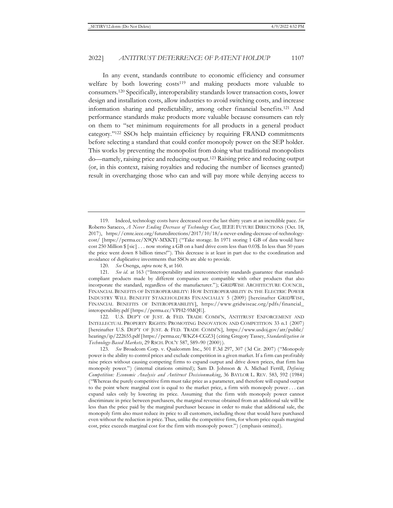In any event, standards contribute to economic efficiency and consumer welfare by both lowering costs<sup>119</sup> and making products more valuable to consumers.120 Specifically, interoperability standards lower transaction costs, lower design and installation costs, allow industries to avoid switching costs, and increase information sharing and predictability, among other financial benefits.121 And performance standards make products more valuable because consumers can rely on them to "set minimum requirements for all products in a general product category."122 SSOs help maintain efficiency by requiring FRAND commitments before selecting a standard that could confer monopoly power on the SEP holder. This works by preventing the monopolist from doing what traditional monopolists do—namely, raising price and reducing output.123 Raising price and reducing output (or, in this context, raising royalties and reducing the number of licenses granted) result in overcharging those who can and will pay more while denying access to

122. U.S. DEP'T OF JUST. & FED. TRADE COMM'N, ANTITRUST ENFORCEMENT AND INTELLECTUAL PROPERTY RIGHTS: PROMOTING INNOVATION AND COMPETITION 33 n.1 (2007) [hereinafter U.S. DEP'T OF JUST. & FED. TRADE COMM'N], https://www.usdoj.gov/atr/public/ hearings/ip/222655.pdf [https://perma.cc/WKZ4-CGZ3] (citing Gregory Tassey, *Standardization in Technology-Based Markets*, 29 RSCH. POL'Y 587, 589–90 (2000)).

123*. See* Broadcom Corp. v. Qualcomm Inc., 501 F.3d 297, 307 (3d Cir. 2007) ("Monopoly power is the ability to control prices and exclude competition in a given market. If a firm can profitably raise prices without causing competing firms to expand output and drive down prices, that firm has monopoly power.") (internal citations omitted); Sam D. Johnson & A. Michael Ferrill, *Defining Competition: Economic Analysis and Antitrust Decisionmaking*, 36 BAYLOR L. REV. 583, 592 (1984) ("Whereas the purely competitive firm must take price as a parameter, and therefore will expand output to the point where marginal cost is equal to the market price, a firm with monopoly power . . . can expand sales only by lowering its price. Assuming that the firm with monopoly power cannot discriminate in price between purchasers, the marginal revenue obtained from an additional sale will be less than the price paid by the marginal purchaser because in order to make that additional sale, the monopoly firm also must reduce its price to all customers, including those that would have purchased even without the reduction in price. Thus, unlike the competitive firm, for whom price equals marginal cost, price exceeds marginal cost for the firm with monopoly power.") (emphasis omitted).

<sup>119.</sup> Indeed, technology costs have decreased over the last thirty years at an incredible pace. *See* Roberto Saracco, *A Never Ending Decrease of Technology Cost*, IEEE FUTURE DIRECTIONS (Oct. 18, 2017), https://cmte.ieee.org/futuredirections/2017/10/18/a-never-ending-decrease-of-technologycost/ [https://perma.cc/X9QV-MXKT] ("Take storage. In 1971 storing 1 GB of data would have cost 250 Million \$ [sic] . . . now storing a GB on a hard drive costs less than 0.03\$. In less than 50 years the price went down 8 billion times!"). This decrease is at least in part due to the coordination and avoidance of duplicative investments that SSOs are able to provide.

<sup>120</sup>*. See* Osenga, *supra* note 8, at 160.

<sup>121.</sup> See id. at 163 ("Interoperability and interconnectivity standards guarantee that standardcompliant products made by different companies are compatible with other products that also incorporate the standard, regardless of the manufacturer."); GRIDWISE ARCHITECTURE COUNCIL, FINANCIAL BENEFITS OF INTEROPERABILITY: HOW INTEROPERABILITY IN THE ELECTRIC POWER INDUSTRY WILL BENEFIT STAKEHOLDERS FINANCIALLY 5 (2009) [hereinafter GRIDWISE, FINANCIAL BENEFITS OF INTEROPERABILITY], https://www.gridwiseac.org/pdfs/financial\_ interoperability.pdf [https://perma.cc/VPH2-9MQE].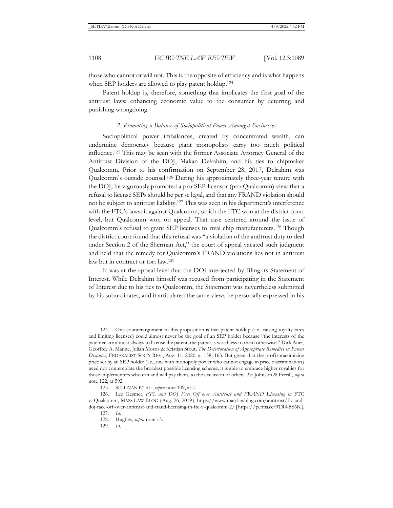those who cannot or will not. This is the opposite of efficiency and is what happens when SEP holders are allowed to play patent holdup.<sup>124</sup>

Patent holdup is, therefore, something that implicates the first goal of the antitrust laws: enhancing economic value to the consumer by deterring and punishing wrongdoing.

#### *2. Promoting a Balance of Sociopolitical Power Amongst Businesses*

Sociopolitical power imbalances, created by concentrated wealth, can undermine democracy because giant monopolists carry too much political influence.125 This may be seen with the former Associate Attorney General of the Antitrust Division of the DOJ, Makan Delrahim, and his ties to chipmaker Qualcomm. Prior to his confirmation on September 28, 2017, Delrahim was Qualcomm's outside counsel.126 During his approximately three-year tenure with the DOJ, he vigorously promoted a pro-SEP-licensor (pro-Qualcomm) view that a refusal to license SEPs should be per se legal, and that any FRAND violation should not be subject to antitrust liability.127 This was seen in his department's interference with the FTC's lawsuit against Qualcomm, which the FTC won at the district court level, but Qualcomm won on appeal. That case centered around the issue of Qualcomm's refusal to grant SEP licenses to rival chip manufacturers.128 Though the district court found that this refusal was "a violation of the antitrust duty to deal under Section 2 of the Sherman Act," the court of appeal vacated such judgment and held that the remedy for Qualcomm's FRAND violations lies not in antitrust law but in contract or tort law.129

It was at the appeal level that the DOJ interjected by filing its Statement of Interest. While Delrahim himself was recused from participating in the Statement of Interest due to his ties to Qualcomm, the Statement was nevertheless submitted by his subordinates, and it articulated the same views he personally expressed in his

<sup>124.</sup> One counterargument to this proposition is that patent holdup (i.e., raising royalty rates and limiting licenses) could almost never be the goal of an SEP holder because "the interests of the patentee are almost always to license the patent; the patent is worthless to them otherwise." Dirk Auer, Geoffrey A. Manne, Julian Morris & Kristian Stout, *The Deterioration of Appropriate Remedies in Patent Disputes*, FEDERALIST SOC'Y REV., Aug. 11, 2020, at 158, 163. But given that the profit-maximizing price set by an SEP holder (i.e., one with monopoly power who cannot engage in price discrimination) need not contemplate the broadest possible licensing scheme, it is able to embrace higher royalties for those implementers who can and will pay them, to the exclusion of others. *See* Johnson & Ferrill, *supra*  note 122, at 592.

<sup>125.</sup> SULLIVAN ET AL., *supra* note 109, at 7.

<sup>126.</sup> Lee Gesmer, *FTC and DOJ Face Off over Antitrust and FRAND Licensing in FTC* v. Qualcomm, MASS LAW BLOG (Aug. 26, 2019), https://www.masslawblog.com/antitrust/ftc-anddoj-face-off-over-antitrust-and-frand-licensing-in-ftc-v-qualcomm-2/ [https://perma.cc/9TR4-BS6K]. 127*. Id.*

<sup>128.</sup> Hughes, *supra* note 13.

<sup>129</sup>*. Id.*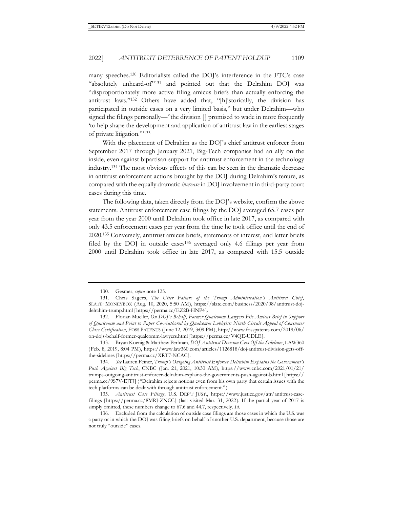many speeches.130 Editorialists called the DOJ's interference in the FTC's case "absolutely unheard-of"<sup>131</sup> and pointed out that the Delrahim DOJ was "disproportionately more active filing amicus briefs than actually enforcing the antitrust laws."132 Others have added that, "[h]istorically, the division has participated in outside cases on a very limited basis," but under Delrahim—who signed the filings personally—"the division [] promised to wade in more frequently 'to help shape the development and application of antitrust law in the earliest stages of private litigation.'"133

With the placement of Delrahim as the DOJ's chief antitrust enforcer from September 2017 through January 2021, Big-Tech companies had an ally on the inside, even against bipartisan support for antitrust enforcement in the technology industry.134 The most obvious effects of this can be seen in the dramatic decrease in antitrust enforcement actions brought by the DOJ during Delrahim's tenure, as compared with the equally dramatic *increase* in DOJ involvement in third-party court cases during this time.

The following data, taken directly from the DOJ's website, confirm the above statements. Antitrust enforcement case filings by the DOJ averaged 65.7 cases per year from the year 2000 until Delrahim took office in late 2017, as compared with only 43.5 enforcement cases per year from the time he took office until the end of 2020.135 Conversely, antitrust amicus briefs, statements of interest, and letter briefs filed by the DOJ in outside cases136 averaged only 4.6 filings per year from 2000 until Delrahim took office in late 2017, as compared with 15.5 outside

135*. Antitrust Case Filings*, U.S. DEP'T JUST., https://www.justice.gov/atr/antitrust-casefilings [https://perma.cc/8MRJ-ZNCC] (last visited Mar. 31, 2022). If the partial year of 2017 is simply omitted, these numbers change to 67.6 and 44.7, respectively. *Id.*

136. Excluded from the calculation of outside case filings are those cases in which the U.S. was a party or in which the DOJ was filing briefs on behalf of another U.S. department, because those are not truly "outside" cases.

<sup>130.</sup> Gesmer, *supra* note 125.

<sup>131.</sup> Chris Sagers, *The Utter Failure of the Trump Administration's Antitrust Chief*, SLATE: MONEYBOX (Aug. 10, 2020, 5:50 AM), https://slate.com/business/2020/08/antitrust-dojdelrahim-trump.html [https://perma.cc/EZ2B-HNP4].

<sup>132.</sup> Florian Mueller, *On DOJ's Behalf, Former Qualcomm Lawyers File Amicus Brief in Support of Qualcomm and Point to Paper Co-Authored by Qualcomm Lobbyist: Ninth Circuit Appeal of Consumer Class Certification*, FOSS PATENTS (June 12, 2019, 3:09 PM), http://www.fosspatents.com/2019/06/ on-dojs-behalf-former-qualcomm-lawyers.html [https://perma.cc/V4QE-UDLE].

<sup>133.</sup> Bryan Koenig & Matthew Perlman, *DOJ Antitrust Division Gets Off the Sidelines*, LAW360 (Feb. 8, 2019, 8:04 PM), https://www.law360.com/articles/1126818/doj-antitrust-division-gets-offthe-sidelines [https://perma.cc/XRT7-NCAC].

<sup>134</sup>*. See* Lauren Feiner, *Trump's Outgoing Antitrust Enforcer Delrahim Explains the Government's Push Against Big Tech*, CNBC (Jan. 21, 2021, 10:30 AM), https://www.cnbc.com/2021/01/21/ trumps-outgoing-antitrust-enforcer-delrahim-explains-the-governments-push-against-b.html [https:// perma.cc/9S7V-EJTJ] ("Delrahim rejects notions even from his own party that certain issues with the tech platforms can be dealt with through antitrust enforcement.").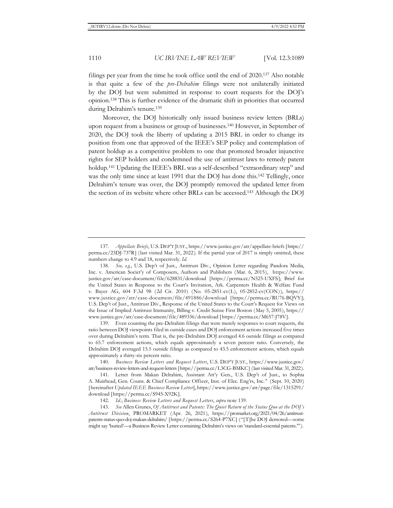filings per year from the time he took office until the end of 2020.137 Also notable is that quite a few of the *pre-Delrahim* filings were not unilaterally initiated by the DOJ but were submitted in response to court requests for the DOJ's opinion.138 This is further evidence of the dramatic shift in priorities that occurred during Delrahim's tenure.139

Moreover, the DOJ historically only issued business review letters (BRLs) upon request from a business or group of businesses.140 However, in September of 2020, the DOJ took the liberty of updating a 2015 BRL in order to change its position from one that approved of the IEEE's SEP policy and contemplation of patent holdup as a competitive problem to one that promoted broader injunctive rights for SEP holders and condemned the use of antitrust laws to remedy patent holdup.141 Updating the IEEE's BRL was a self-described "extraordinary step" and was the only time since at least 1991 that the DOJ has done this.<sup>142</sup> Tellingly, once Delrahim's tenure was over, the DOJ promptly removed the updated letter from the section of its website where other BRLs can be accessed.143 Although the DOJ

139. Even counting the pre-Delrahim filings that were merely responses to court requests, the ratio between DOJ viewpoints filed in outside cases and DOJ enforcement actions increased five times over during Delrahim's term. That is, the pre-Delrahim DOJ averaged 4.6 outside filings as compared to 65.7 enforcement actions, which equals approximately a seven percent ratio. Conversely, the Delrahim DOJ averaged 15.5 outside filings as compared to 43.5 enforcement actions, which equals approximately a thirty-six percent ratio.

<sup>137</sup>*. Appellate Briefs*, U.S. DEP'T JUST., https://www.justice.gov/atr/appellate-briefs [https:// perma.cc/23DJ-737R] (last visited Mar. 31, 2022). If the partial year of 2017 is simply omitted, these numbers change to 4.9 and 18, respectively. *Id.* 

<sup>138</sup>*. See, e.g.*, U.S. Dep't of Just., Antitrust Div., Opinion Letter regarding Pandora Media, Inc. v. American Societ'y of Composers, Authors and Publishers (Mar. 6, 2015), https://www. justice.gov/atr/case-document/file/628831/download [https://perma.cc/N525-UXFS]; Brief for the United States in Response to the Court's Invitation, Ark. Carpenters Health & Welfare Fund v. Bayer AG, 604 F.3d 98 (2d Cir. 2010) (No. 05-2851-cv(L), 05-2852-cv(CON)), https:// www.justice.gov/atr/case-document/file/491886/download [https://perma.cc/RU76-BQVY]; U.S. Dep't of Just., Antitrust Div., Response of the United States to the Court's Request for Views on the Issue of Implied Antitrust Immunity, Billing v. Credit Suisse First Boston (May 5, 2005), https:// www.justice.gov/atr/case-document/file/489336/download [https://perma.cc/M657-J78V].

<sup>140</sup>*. Business Review Letters and Request Letters*, U.S. DEP'T JUST., https://www.justice.gov/ atr/business-review-letters-and-request-letters [https://perma.cc/L3CG-BMKC] (last visited Mar. 31, 2022).

<sup>141.</sup> Letter from Makan Delrahim, Assistant Att'y Gen., U.S. Dep't of Just., to Sophia A. Muirhead, Gen. Couns. & Chief Compliance Officer, Inst. of Elec. Eng'rs, Inc.*'*' (Sept. 10, 2020) [hereinafter *Updated IEEE Business Review Letter*], https://www.justice.gov/atr/page/file/1315291/ download [https://perma.cc/S945-X92K].

<sup>142</sup>*. Id.*; *Business Review Letters and Request Letters*, *supra* note 139.

<sup>143</sup>*. See* Allen Grunes, *Of Antitrust and Patents: The Quiet Return of the Status Quo at the DOJ's Antitrust Division*, PROMARKET (Apr. 26, 2021), https://promarket.org/2021/04/26/antitrustpatents-status-quo-doj-makan-delrahim/ [https://perma.cc/S264-P7XC] ("[T]he DOJ demoted—some might say 'buried'—a Business Review Letter containing Delrahim's views on 'standard-essential patents.'").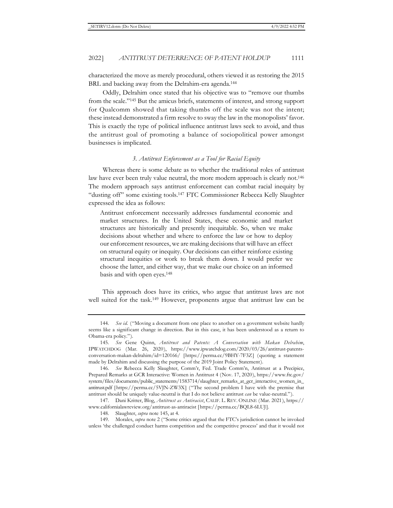characterized the move as merely procedural, others viewed it as restoring the 2015 BRL and backing away from the Delrahim-era agenda.<sup>144</sup>

Oddly, Delrahim once stated that his objective was to "remove our thumbs from the scale."145 But the amicus briefs, statements of interest, and strong support for Qualcomm showed that taking thumbs off the scale was not the intent; these instead demonstrated a firm resolve to sway the law in the monopolists' favor. This is exactly the type of political influence antitrust laws seek to avoid, and thus the antitrust goal of promoting a balance of sociopolitical power amongst businesses is implicated.

### *3. Antitrust Enforcement as a Tool for Racial Equity*

Whereas there is some debate as to whether the traditional roles of antitrust law have ever been truly value neutral, the more modern approach is clearly not.<sup>146</sup> The modern approach says antitrust enforcement can combat racial inequity by "dusting off" some existing tools.147 FTC Commissioner Rebecca Kelly Slaughter expressed the idea as follows:

Antitrust enforcement necessarily addresses fundamental economic and market structures. In the United States, these economic and market structures are historically and presently inequitable. So, when we make decisions about whether and where to enforce the law or how to deploy our enforcement resources, we are making decisions that will have an effect on structural equity or inequity. Our decisions can either reinforce existing structural inequities or work to break them down. I would prefer we choose the latter, and either way, that we make our choice on an informed basis and with open eyes.148

This approach does have its critics, who argue that antitrust laws are not well suited for the task.<sup>149</sup> However, proponents argue that antitrust law can be

<sup>144</sup>*. See id.* ("Moving a document from one place to another on a government website hardly seems like a significant change in direction. But in this case, it has been understood as a return to Obama-era policy.").

<sup>145</sup>*. See* Gene Quinn, *Antitrust and Patents: A Conversation with Makan Delrahim*, IPWATCHDOG (Mar. 26, 2020), https://www.ipwatchdog.com/2020/03/26/antitrust-patentsconversation-makan-delrahim/id=120166/ [https://perma.cc/9BHY-7F3Z] (quoting a statement made by Delrahim and discussing the purpose of the 2019 Joint Policy Statement).

<sup>146</sup>*. See* Rebecca Kelly Slaughter, Comm'r, Fed. Trade Comm'n, Antitrust at a Precipice, Prepared Remarks at GCR Interactive: Women in Antitrust 4 (Nov. 17, 2020), https://www.ftc.gov/ system/files/documents/public\_statements/1583714/slaughter\_remarks\_at\_gcr\_interactive\_women\_in\_ antitrust.pdf [https://perma.cc/5VJN-ZW3X] ("The second problem I have with the premise that antitrust should be uniquely value-neutral is that I do not believe antitrust *can* be value-neutral.").

<sup>147.</sup> Dani Kritter, Blog, *Antitrust as Antiracist*, CALIF. L. REV. ONLINE (Mar. 2021), https:// www.californialawreview.org/antitrust-as-antiracist [https://perma.cc/BQL8-6LUJ].

<sup>148.</sup> Slaughter, *supra* note 145, at 4.

<sup>149.</sup> Morales, *supra* note 2 ("Some critics argued that the FTC's jurisdiction cannot be invoked unless 'the challenged conduct harms competition and the competitive process' and that it would not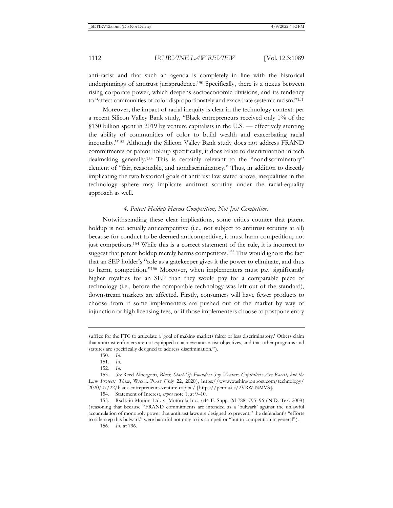anti-racist and that such an agenda is completely in line with the historical underpinnings of antitrust jurisprudence.150 Specifically, there is a nexus between rising corporate power, which deepens socioeconomic divisions, and its tendency to "affect communities of color disproportionately and exacerbate systemic racism."151

Moreover, the impact of racial inequity is clear in the technology context: per a recent Silicon Valley Bank study, "Black entrepreneurs received only 1% of the \$130 billion spent in 2019 by venture capitalists in the U.S. — effectively stunting the ability of communities of color to build wealth and exacerbating racial inequality."152 Although the Silicon Valley Bank study does not address FRAND commitments or patent holdup specifically, it does relate to discrimination in tech dealmaking generally.153 This is certainly relevant to the "nondiscriminatory" element of "fair, reasonable, and nondiscriminatory." Thus, in addition to directly implicating the two historical goals of antitrust law stated above, inequalities in the technology sphere may implicate antitrust scrutiny under the racial-equality approach as well.

### *4. Patent Holdup Harms Competition, Not Just Competitors*

Notwithstanding these clear implications, some critics counter that patent holdup is not actually anticompetitive (i.e., not subject to antitrust scrutiny at all) because for conduct to be deemed anticompetitive, it must harm competition, not just competitors.154 While this is a correct statement of the rule, it is incorrect to suggest that patent holdup merely harms competitors.155 This would ignore the fact that an SEP holder's "role as a gatekeeper gives it the power to eliminate, and thus to harm, competition."156 Moreover, when implementers must pay significantly higher royalties for an SEP than they would pay for a comparable piece of technology (i.e., before the comparable technology was left out of the standard), downstream markets are affected. Firstly, consumers will have fewer products to choose from if some implementers are pushed out of the market by way of injunction or high licensing fees, or if those implementers choose to postpone entry

suffice for the FTC to articulate a 'goal of making markets fairer or less discriminatory.' Others claim that antitrust enforcers are not equipped to achieve anti-racist objectives, and that other programs and statutes are specifically designed to address discrimination.").

<sup>150</sup>*. Id.* 

<sup>151</sup>*. Id.* 

<sup>152</sup>*. Id.* 

<sup>153</sup>*. See* Reed Albergotti, *Black Start-Up Founders Say Venture Capitalists Are Racist, but the Law Protects Them*, WASH. POST (July 22, 2020), https://www.washingtonpost.com/technology/ 2020/07/22/black-entrepreneurs-venture-capital/ [https://perma.cc/2VRW-NMVS].

<sup>154.</sup> Statement of Interest, *supra* note 1, at 9–10.

<sup>155.</sup> Rsch. in Motion Ltd. v. Motorola Inc., 644 F. Supp. 2d 788, 795–96 (N.D. Tex. 2008) (reasoning that because "FRAND commitments are intended as a 'bulwark' against the unlawful accumulation of monopoly power that antitrust laws are designed to prevent," the defendant's "efforts to side-step this bulwark" were harmful not only to its competitor "but to competition in general").

<sup>156</sup>*. Id.* at 796.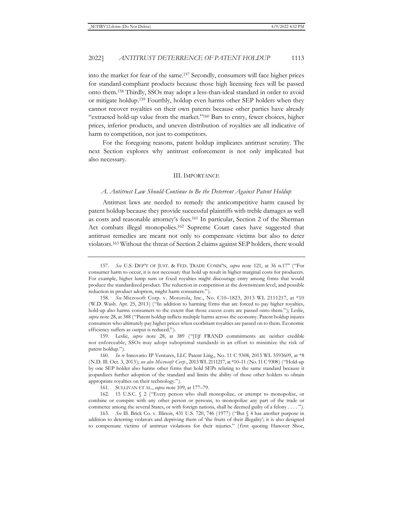into the market for fear of the same.157 Secondly, consumers will face higher prices for standard-compliant products because those high licensing fees will be passed onto them.158 Thirdly, SSOs may adopt a less-than-ideal standard in order to avoid or mitigate holdup.159 Fourthly, holdup even harms other SEP holders when they cannot recover royalties on their own patents because other parties have already "extracted hold-up value from the market."160 Bars to entry, fewer choices, higher prices, inferior products, and uneven distribution of royalties are all indicative of harm to competition, not just to competitors.

For the foregoing reasons, patent holdup implicates antitrust scrutiny. The next Section explores why antitrust enforcement is not only implicated but also necessary.

#### III. IMPORTANCE

#### *A. Antitrust Law Should Continue to Be the Deterrent Against Patent Holdup*

Antitrust laws are needed to remedy the anticompetitive harm caused by patent holdup because they provide successful plaintiffs with treble damages as well as costs and reasonable attorney's fees.161 In particular, Section 2 of the Sherman Act combats illegal monopolies.162 Supreme Court cases have suggested that antitrust remedies are meant not only to compensate victims but also to deter violators.163 Without the threat of Section 2 claims against SEP holders, there would

<sup>157</sup>*. See* U.S. DEP'T OF JUST. & FED. TRADE COMM'N, *supra* note 121, at 36 n.17'' ("For consumer harm to occur, it is not necessary that hold up result in higher marginal costs for producers. For example, higher lump sum or fixed royalties might discourage entry among firms that would produce the standardized product. The reduction in competition at the downstream level, and possible reduction in product adoption, might harm consumers.").

<sup>158</sup>*. See* Microsoft Corp. v. Motorola, Inc., No. C10–1823, 2013 WL 2111217, at \*10 (W.D. Wash. Apr. 25, 2013) ("In addition to harming firms that are forced to pay higher royalties, hold-up also harms consumers to the extent that those excess costs are passed onto them."); Leslie, *supra* note 28, at 388 ("Patent holdup inflicts multiple harms across the economy. Patent holdup injures consumers who ultimately pay higher prices when exorbitant royalties are passed on to them. Economic efficiency suffers as output is reduced.").

<sup>159.</sup> Leslie, *supra* note 28, at 389 ("[I]f FRAND commitments are neither credible nor enforceable, SSOs may adopt suboptimal standards in an effort to minimize the risk of patent holdup.").

<sup>160</sup>*. In re* Innovatio IP Ventures, LLC Patent Litig., No. 11 C 9308, 2013 WL 5593609, at \*8 (N.D. Ill. Oct. 3, 2013); *see also Microsoft Corp*., 2013 WL 2111217, at \*10–11 (No. 11 C 9308) ("Hold-up by one SEP holder also harms other firms that hold SEPs relating to the same standard because it jeopardizes further adoption of the standard and limits the ability of those other holders to obtain appropriate royalties on their technology.").

<sup>161.</sup> SULLIVAN ET AL., *supra* note 109, at 177–79.

<sup>162. 15</sup> U.S.C. § 2 ("Every person who shall monopolize, or attempt to monopolize, or combine or conspire with any other person or persons, to monopolize any part of the trade or commerce among the several States, or with foreign nations, shall be deemed guilty of a felony . . . . ").

<sup>163</sup>*. See* Ill. Brick Co. v. Illinois, 431 U.S. 720, 746 (1977) ("But § 4 has another purpose in addition to deterring violators and depriving them of 'the fruits of their illegality'; it is also designed to compensate victims of antitrust violations for their injuries." (first quoting Hanover Shoe,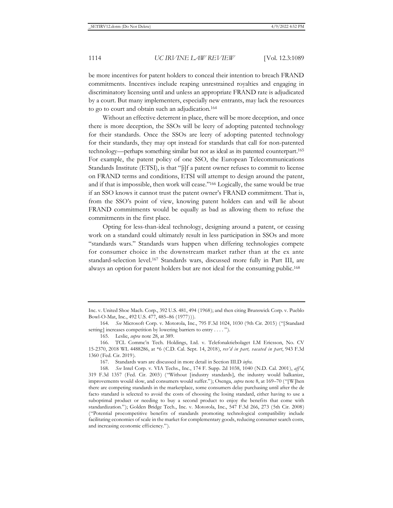be more incentives for patent holders to conceal their intention to breach FRAND commitments. Incentives include reaping unrestrained royalties and engaging in discriminatory licensing until and unless an appropriate FRAND rate is adjudicated by a court. But many implementers, especially new entrants, may lack the resources to go to court and obtain such an adjudication.164

Without an effective deterrent in place, there will be more deception, and once there is more deception, the SSOs will be leery of adopting patented technology for their standards. Once the SSOs are leery of adopting patented technology for their standards, they may opt instead for standards that call for non-patented technology—perhaps something similar but not as ideal as its patented counterpart.165 For example, the patent policy of one SSO, the European Telecommunications Standards Institute (ETSI), is that "[i]f a patent owner refuses to commit to license on FRAND terms and conditions, ETSI will attempt to design around the patent, and if that is impossible, then work will cease."166 Logically, the same would be true if an SSO knows it cannot trust the patent owner's FRAND commitment. That is, from the SSO's point of view, knowing patent holders can and will lie about FRAND commitments would be equally as bad as allowing them to refuse the commitments in the first place.

Opting for less-than-ideal technology, designing around a patent, or ceasing work on a standard could ultimately result in less participation in SSOs and more "standards wars." Standards wars happen when differing technologies compete for consumer choice in the downstream market rather than at the ex ante standard-selection level.167 Standards wars, discussed more fully in Part III, are always an option for patent holders but are not ideal for the consuming public.168

Inc. v. United Shoe Mach. Corp., 392 U.S. 481, 494 (1968); and then citing Brunswick Corp. v. Pueblo Bowl-O-Mat, Inc., 492 U.S. 477, 485–86 (1977))).

<sup>164</sup>*. See* Microsoft Corp. v. Motorola, Inc., 795 F.3d 1024, 1030 (9th Cir. 2015) ("[Standard setting] increases competition by lowering barriers to entry . . . . ").

<sup>165.</sup> Leslie, *supra* note 28, at 389.

<sup>166.</sup> TCL Commc'n Tech. Holdings, Ltd. v. Telefonaktiebolaget LM Ericsson, No. CV 15-2370, 2018 WL 4488286, at \*6 (C.D. Cal. Sept. 14, 2018), *rev'd in part, vacated in part*, 943 F.3d 1360 (Fed. Cir. 2019).

<sup>167.</sup> Standards wars are discussed in more detail in Section III.D *infra*.

<sup>168</sup>*. See* Intel Corp. v. VIA Techs., Inc., 174 F. Supp. 2d 1038, 1040 (N.D. Cal. 2001), *aff'd*, 319 F.3d 1357 (Fed. Cir. 2003) ("Without [industry standards], the industry would balkanize, improvements would slow, and consumers would suffer."); Osenga, *supra* note 8, at 169–70 ("[W]hen there are competing standards in the marketplace, some consumers delay purchasing until after the de facto standard is selected to avoid the costs of choosing the losing standard, either having to use a suboptimal product or needing to buy a second product to enjoy the benefits that come with standardization."); Golden Bridge Tech., Inc. v. Motorola, Inc., 547 F.3d 266, 273 (5th Cir. 2008) ("Potential procompetitive benefits of standards promoting technological compatibility include facilitating economies of scale in the market for complementary goods, reducing consumer search costs, and increasing economic efficiency.").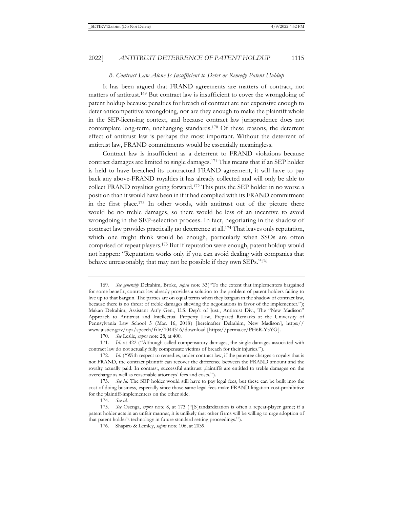#### *B. Contract Law Alone Is Insufficient to Deter or Remedy Patent Holdup*

It has been argued that FRAND agreements are matters of contract, not matters of antitrust.169 But contract law is insufficient to cover the wrongdoing of patent holdup because penalties for breach of contract are not expensive enough to deter anticompetitive wrongdoing, nor are they enough to make the plaintiff whole in the SEP-licensing context, and because contract law jurisprudence does not contemplate long-term, unchanging standards.170 Of these reasons, the deterrent effect of antitrust law is perhaps the most important. Without the deterrent of antitrust law, FRAND commitments would be essentially meaningless.

Contract law is insufficient as a deterrent to FRAND violations because contract damages are limited to single damages.171 This means that if an SEP holder is held to have breached its contractual FRAND agreement, it will have to pay back any above-FRAND royalties it has already collected and will only be able to collect FRAND royalties going forward.172 This puts the SEP holder in no worse a position than it would have been in if it had complied with its FRAND commitment in the first place.173 In other words, with antitrust out of the picture there would be no treble damages, so there would be less of an incentive to avoid wrongdoing in the SEP-selection process. In fact, negotiating in the shadow of contract law provides practically no deterrence at all.174 That leaves only reputation, which one might think would be enough, particularly when SSOs are often comprised of repeat players.175 But if reputation were enough, patent holdup would not happen: "Reputation works only if you can avoid dealing with companies that behave unreasonably; that may not be possible if they own SEPs."176

<sup>169</sup>*. See generally* Delrahim, Broke, *supra* note 33("To the extent that implementers bargained for some benefit, contract law already provides a solution to the problem of patent holders failing to live up to that bargain. The parties are on equal terms when they bargain in the shadow of contract law, because there is no threat of treble damages skewing the negotiations in favor of the implementer."); Makan Delrahim, Assistant Att'y Gen., U.S. Dep't of Just., Antitrust Div., The "New Madison" Approach to Antitrust and Intellectual Property Law, Prepared Remarks at the University of Pennsylvania Law School 5 (Mar. 16, 2018) [hereinafter Delrahim, New Madison], https:// www.justice.gov/opa/speech/file/1044316/download [https://perma.cc/PH6R-Y5YG].

<sup>170</sup>*. See* Leslie, *supra* note 28, at 400.

<sup>171.</sup> Id. at 422 ("Although called compensatory damages, the single damages associated with contract law do not actually fully compensate victims of breach for their injuries.").

<sup>172</sup>*. Id.* ("With respect to remedies, under contract law, if the patentee charges a royalty that is not FRAND, the contract plaintiff can recover the difference between the FRAND amount and the royalty actually paid. In contrast, successful antitrust plaintiffs are entitled to treble damages on the overcharge as well as reasonable attorneys' fees and costs.").

<sup>173</sup>*. See id.* The SEP holder would still have to pay legal fees, but these can be built into the cost of doing business, especially since those same legal fees make FRAND litigation cost-prohibitive for the plaintiff-implementers on the other side.

<sup>174</sup>*. See id.*

<sup>175</sup>*. See* Osenga, *supra* note 8, at 173 ("[S]tandardization is often a repeat-player game; if a patent holder acts in an unfair manner, it is unlikely that other firms will be willing to urge adoption of that patent holder's technology in future standard setting proceedings.").

<sup>176.</sup> Shapiro & Lemley, *supra* note 106, at 2039.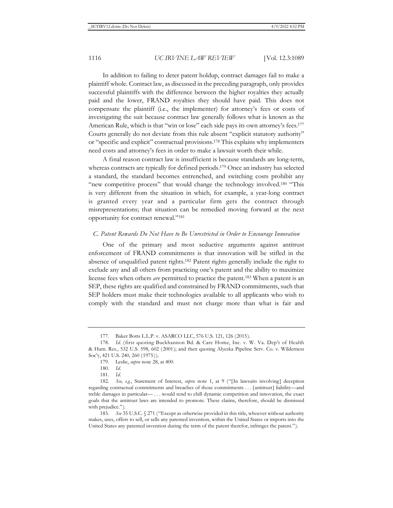In addition to failing to deter patent holdup, contract damages fail to make a plaintiff whole. Contract law, as discussed in the preceding paragraph, only provides successful plaintiffs with the difference between the higher royalties they actually paid and the lower, FRAND royalties they should have paid. This does not compensate the plaintiff (i.e., the implementer) for attorney's fees or costs of investigating the suit because contract law generally follows what is known as the American Rule, which is that "win or lose" each side pays its own attorney's fees.<sup>177</sup> Courts generally do not deviate from this rule absent "explicit statutory authority" or "specific and explicit" contractual provisions.178 This explains why implementers need costs and attorney's fees in order to make a lawsuit worth their while.

A final reason contract law is insufficient is because standards are long-term, whereas contracts are typically for defined periods.179 Once an industry has selected a standard, the standard becomes entrenched, and switching costs prohibit any "new competitive process" that would change the technology involved.180 "This is very different from the situation in which, for example, a year-long contract is granted every year and a particular firm gets the contract through misrepresentations; that situation can be remedied moving forward at the next opportunity for contract renewal."181

#### *C. Patent Rewards Do Not Have to Be Unrestricted in Order to Encourage Innovation*

One of the primary and most seductive arguments against antitrust enforcement of FRAND commitments is that innovation will be stifled in the absence of unqualified patent rights.182 Patent rights generally include the right to exclude any and all others from practicing one's patent and the ability to maximize license fees when others *are* permitted to practice the patent.183 When a patent is an SEP, these rights are qualified and constrained by FRAND commitments, such that SEP holders must make their technologies available to all applicants who wish to comply with the standard and must not charge more than what is fair and

<sup>177.</sup> Baker Botts L.L.P. v. ASARCO LLC, 576 U.S. 121, 126 (2015).

<sup>178</sup>*. Id.* (first quoting Buckhannon Bd. & Care Home, Inc. v. W. Va. Dep't of Health & Hum. Res., 532 U.S. 598, 602 (2001); and then quoting Alyeska Pipeline Serv. Co. v. Wilderness Soc'y, 421 U.S. 240, 260 (1975)).

<sup>179.</sup> Leslie, *supra* note 28, at 400.

<sup>180</sup>*. Id.*

<sup>181</sup>*. Id.*

<sup>182</sup>*. See, e.g.*, Statement of Interest, *supra* note 1, at 9 ("[In lawsuits involving] deception regarding contractual commitments and breaches of those commitments . . . [antitrust] liability—and treble damages in particular— . . . would tend to chill dynamic competition and innovation, the exact goals that the antitrust laws are intended to promote. These claims, therefore, should be dismissed with prejudice.").

<sup>183</sup>*. See* 35 U.S.C. § 271 ("Except as otherwise provided in this title, whoever without authority makes, uses, offers to sell, or sells any patented invention, within the United States or imports into the United States any patented invention during the term of the patent therefor, infringes the patent.").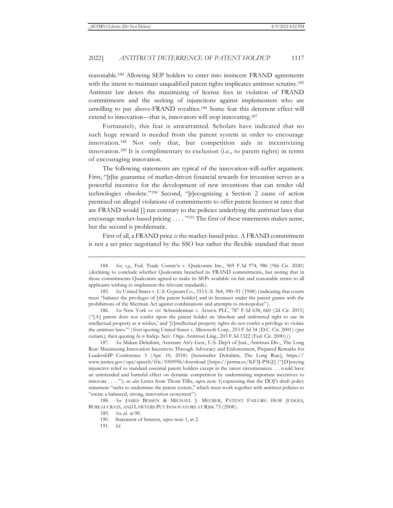reasonable.184 Allowing SEP holders to enter into insincere FRAND agreements with the intent to maintain unqualified patent rights implicates antitrust scrutiny.<sup>185</sup> Antitrust law deters the maximizing of license fees in violation of FRAND commitments and the seeking of injunctions against implementers who are unwilling to pay above-FRAND royalties.186 Some fear this deterrent effect will extend to innovation—that is, innovators will stop innovating.<sup>187</sup>

Fortunately, this fear is unwarranted. Scholars have indicated that no such huge reward is needed from the patent system in order to encourage innovation.188 Not only that, but competition aids in incentivizing innovation.189 It is complimentary to exclusion (i.e., to patent rights) in terms of encouraging innovation.

The following statements are typical of the innovation-will-suffer argument. First, "[t]he guarantee of market-driven financial rewards for invention serves as a powerful incentive for the development of new inventions that can render old technologies obsolete."190 Second, "[r]ecognizing a Section 2 cause of action premised on alleged violations of commitments to offer patent licenses at rates that are FRAND would [] run contrary to the policies underlying the antitrust laws that encourage market-based pricing . . . . "191 The first of these statements makes sense, but the second is problematic.

First of all, a FRAND price *is* the market-based price. A FRAND commitment is not a set price negotiated by the SSO but rather the flexible standard that must

186*. See* New York *ex rel.* Schneiderman v. Actavis PLC, 787 F.3d 638, 660 (2d Cir. 2015) ("[A] patent does not confer upon the patent holder an 'absolute and unfettered right to use its intellectual property as it wishes,' and '[i]ntellectual property rights do not confer a privilege to violate the antitrust laws.'" (first quoting United States v. Microsoft Corp., 253 F.3d 34 (D.C. Cir. 2001) (per curiam); then quoting *In re* Indep. Serv. Orgs. Antitrust Litig., 203 F.3d 1322 (Fed. Cir. 2000))).

187*. See* Makan Delrahim, Assistant Att'y Gen., U.S. Dep't of Just., Antitrust Div., The Long Run: Maximizing Innovation Incentives Through Advocacy and Enforcement, Prepared Remarks for LeadershIP Conference 3 (Apr. 10, 2018) [hereinafter Delrahim, The Long Run], https:// www.justice.gov/opa/speech/file/1050956/download [https://perma.cc/KF3J-P5GJ] ("[D]enying injunctive relief to standard essential patent holders except in the rarest circumstances . . . could have an unintended and harmful effect on dynamic competition by undermining important incentives to innovate . . . . "); *see also* Letter from Thom Tillis, *supra* note 1(expressing that the DOJ's draft policy statement "seeks to undermine the patent system," which must work together with antitrust policies to "create a balanced, strong, innovation ecosystem").

188*. See* JAMES BESSEN & MICHAEL J. MEURER, PATENT FAILURE: HOW JUDGES, BUREAUCRATS, AND LAWYERS PUT INNOVATORS AT RISK 73 (2008).

<sup>184</sup>*. See, e.g.*, Fed. Trade Comm'n v. Qualcomm Inc., 969 F.3d 974, 986 (9th Cir. 2020) (declining to conclude whether Qualcomm breached its FRAND commitments, but noting that in those commitments Qualcomm agreed to make its SEPs available on fair and reasonable terms to all applicants wishing to implement the relevant standards).

<sup>185</sup>*. See* United States v. U.S. Gypsum Co., 333 U.S. 364, 390–91 (1948) (indicating that courts must "balance the privileges of [the patent holder] and its licensees under the patent grants with the prohibitions of the Sherman Act against combinations and attempts to monopolize").

<sup>189</sup>*. See id.* at 90.

<sup>190.</sup> Statement of Interest, *supra* note 1, at 2.

<sup>191</sup>*. Id.*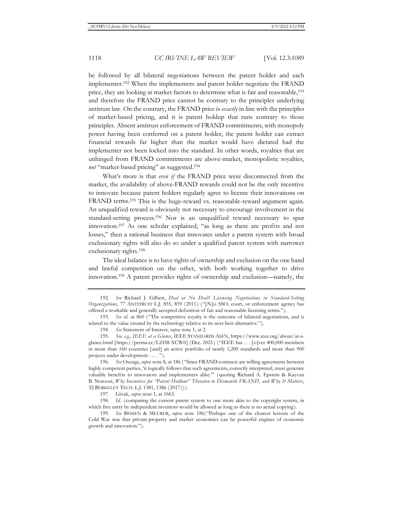be followed by all bilateral negotiations between the patent holder and each implementer.192 When the implementers and patent holder negotiate the FRAND price, they are looking at market factors to determine what is fair and reasonable,193 and therefore the FRAND price cannot be contrary to the principles underlying antitrust law. On the contrary, the FRAND price is *exactly* in line with the principles of market-based pricing, and it is patent holdup that runs contrary to those principles. Absent antitrust enforcement of FRAND commitments, with monopoly power having been conferred on a patent holder, the patent holder can extract financial rewards far higher than the market would have dictated had the implementer not been locked into the standard. In other words, royalties that are unhinged from FRAND commitments are above-market, monopolistic royalties, *not* "market-based pricing" as suggested.194

What's more is that *even if* the FRAND price were disconnected from the market, the availability of above-FRAND rewards could not be the only incentive to innovate because patent holders regularly agree to license their innovations on FRAND terms.195 This is the huge-reward vs. reasonable-reward argument again. An unqualified reward is obviously not necessary to encourage involvement in the standard-setting process.196 Nor is an unqualified reward necessary to spur innovation.197 As one scholar explained, "as long as there are profits and not losses," then a rational business that innovates under a patent system with broad exclusionary rights will also do so under a qualified patent system with narrower exclusionary rights.198

The ideal balance is to have rights of ownership and exclusion on the one hand and lawful competition on the other, with both working together to drive innovation.199 A patent provides rights of ownership and exclusion—namely, the

196*. See* Osenga, *supra* note 8, at 186 ("Since FRAND contracts are willing agreements between highly competent parties, 'it logically follows that such agreements, correctly interpreted, must generate valuable benefits to innovators and implementers alike.'" (quoting Richard A. Epstein & Kayvan B. Noroozi, *Why Incentives for "Patent Holdout" Threaten to Dismantle FRAND, and Why It Matters*, 32 BERKELEY TECH. L.J. 1381, 1386 (2017))).

197. Liivak, *supra* note 1, at 1663.

<sup>192</sup>*. See* Richard J. Gilbert, *Deal or No Deal? Licensing Negotiations in Standard-Setting Organizations*, 77 ANTITRUST L.J. 855, 859 (2011) ("[N]o SSO, court, or enforcement agency has offered a workable and generally accepted definition of fair and reasonable licensing terms.").

<sup>193</sup>*. See id.* at 860 ("The competitive royalty is the outcome of bilateral negotiations, and is related to the value created by the technology relative to its next-best alternative.").

<sup>194</sup>*. See* Statement of Interest, *supra* note 1, at 2.

<sup>195</sup>*. See, e.g.*, *IEEE at a Glance*, IEEE STANDARDS ASS'N, https://www.ieee.org/about/at-aglance.html [https://perma.cc/LZH8-XCW6] (Dec. 2021) ("IEEE has . . . [o]ver 400,000 members in more than 160 countries [and] an active portfolio of nearly 1,200 standards and more than 900 projects under development . . . . ").

<sup>198.</sup> Id. (comparing the current patent system to one more akin to the copyright system, in which free entry by independent inventors would be allowed as long as there is no actual copying).

<sup>199</sup>*. See* BESSEN & MEURER, *supra* note 186("Perhaps one of the clearest lessons of the Cold War was that private-property and market economies can be powerful engines of economic growth and innovation.").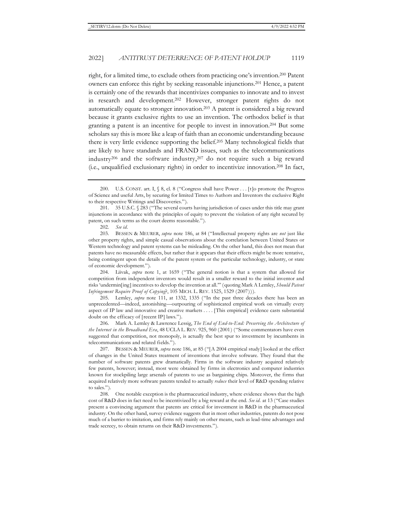right, for a limited time, to exclude others from practicing one's invention.200 Patent owners can enforce this right by seeking reasonable injunctions.201 Hence, a patent is certainly one of the rewards that incentivizes companies to innovate and to invest in research and development.202 However, stronger patent rights do not automatically equate to stronger innovation.203 A patent is considered a big reward because it grants exclusive rights to use an invention. The orthodox belief is that granting a patent is an incentive for people to invest in innovation.204 But some scholars say this is more like a leap of faith than an economic understanding because there is very little evidence supporting the belief.205 Many technological fields that are likely to have standards and FRAND issues, such as the telecommunications industry206 and the software industry,207 do not require such a big reward (i.e., unqualified exclusionary rights) in order to incentivize innovation.208 In fact,

203. BESSEN & MEURER, *supra* note 186, at 84 ("Intellectual property rights are *not* just like other property rights, and simple casual observations about the correlation between United States or Western technology and patent systems can be misleading. On the other hand, this does not mean that patents have no measurable effects, but rather that it appears that their effects might be more tentative, being contingent upon the details of the patent system or the particular technology, industry, or state of economic development.").

204. Liivak, *supra* note 1, at 1659 ("The general notion is that a system that allowed for competition from independent inventors would result in a smaller reward to the initial inventor and risks 'undermin[ing] incentives to develop the invention at all.'" (quoting Mark A Lemley, *Should Patent Infringement Require Proof of Copying*?, 105 MICH. L. REV. 1525, 1529 (2007))).

205. Lemley, *supra* note 111, at 1332, 1335 ("In the past three decades there has been an unprecedented—indeed, astonishing—outpouring of sophisticated empirical work on virtually every aspect of IP law and innovative and creative markets . . . . [This empirical] evidence casts substantial doubt on the efficacy of [recent IP] laws.").

206. Mark A. Lemley & Lawrence Lessig, *The End of End-to-End: Preserving the Architecture of the Internet in the Broadband Era*, 48 UCLA L. REV. 925, 960 (2001) ("Some commentators have even suggested that competition, not monopoly, is actually the best spur to investment by incumbents in telecommunications and related fields.").

207. BESSEN & MEURER, *supra* note 186, at 85 ("[A 2004 empirical study] looked at the effect of changes in the United States treatment of inventions that involve software. They found that the number of software patents grew dramatically. Firms in the software industry acquired relatively few patents, however; instead, most were obtained by firms in electronics and computer industries known for stockpiling large arsenals of patents to use as bargaining chips. Moreover, the firms that acquired relatively more software patents tended to actually *reduce* their level of R&D spending relative to sales.").

208. One notable exception is the pharmaceutical industry, where evidence shows that the high cost of R&D does in fact need to be incentivized by a big reward at the end. *See id.* at 13 ("Case studies present a convincing argument that patents are critical for investment in R&D in the pharmaceutical industry. On the other hand, survey evidence suggests that in most other industries, patents do not pose much of a barrier to imitation, and firms rely mainly on other means, such as lead-time advantages and trade secrecy, to obtain returns on their R&D investments.").

<sup>200.</sup> U.S. CONST. art. I, § 8, cl. 8 ("Congress shall have Power . . . [t]o promote the Progress of Science and useful Arts, by securing for limited Times to Authors and Inventors the exclusive Right to their respective Writings and Discoveries.").

<sup>201. 35</sup> U.S.C. § 283 ("The several courts having jurisdiction of cases under this title may grant injunctions in accordance with the principles of equity to prevent the violation of any right secured by patent, on such terms as the court deems reasonable.").

<sup>202</sup>*. See id.*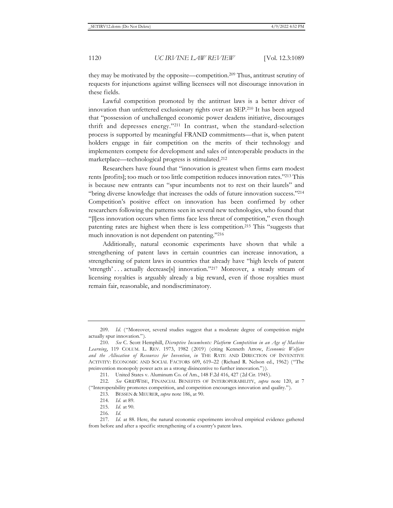they may be motivated by the opposite—competition.209 Thus, antitrust scrutiny of requests for injunctions against willing licensees will not discourage innovation in these fields.

Lawful competition promoted by the antitrust laws is a better driver of innovation than unfettered exclusionary rights over an SEP.210 It has been argued that "possession of unchallenged economic power deadens initiative, discourages thrift and depresses energy."211 In contrast, when the standard-selection process is supported by meaningful FRAND commitments—that is, when patent holders engage in fair competition on the merits of their technology and implementers compete for development and sales of interoperable products in the marketplace—technological progress is stimulated.212

Researchers have found that "innovation is greatest when firms earn modest rents [profits]; too much or too little competition reduces innovation rates."213 This is because new entrants can "spur incumbents not to rest on their laurels" and "bring diverse knowledge that increases the odds of future innovation success."214 Competition's positive effect on innovation has been confirmed by other researchers following the patterns seen in several new technologies, who found that "[l]ess innovation occurs when firms face less threat of competition," even though patenting rates are highest when there is less competition.215 This "suggests that much innovation is not dependent on patenting."216

Additionally, natural economic experiments have shown that while a strengthening of patent laws in certain countries can increase innovation, a strengthening of patent laws in countries that already have "high levels of patent 'strength' . . . actually decrease[s] innovation."217 Moreover, a steady stream of licensing royalties is arguably already a big reward, even if those royalties must remain fair, reasonable, and nondiscriminatory.

<sup>209.</sup> Id. ("Moreover, several studies suggest that a moderate degree of competition might actually spur innovation.").

<sup>210</sup>*. See* C. Scott Hemphill, *Disruptive Incumbents: Platform Competition in an Age of Machine Learning*, 119 COLUM. L. REV. 1973, 1982 (2019) (citing Kenneth Arrow, *Economic Welfare and the Allocation of Resources for Invention*, *in* THE RATE AND DIRECTION OF INVENTIVE ACTIVITY: ECONOMIC AND SOCIAL FACTORS 609, 619–22 (Richard R. Nelson ed., 1962) ("The preinvention monopoly power acts as a strong disincentive to further innovation.")).

<sup>211.</sup> United States v. Aluminum Co. of Am., 148 F.2d 416, 427 (2d Cir. 1945).

<sup>212</sup>*. See* GRIDWISE, FINANCIAL BENEFITS OF INTEROPERABILITY, *supra* note 120, at 7 ("Interoperability promotes competition, and competition encourages innovation and quality.").

<sup>213.</sup> BESSEN & MEURER, *supra* note 186, at 90.

<sup>214</sup>*. Id.* at 89.

<sup>215</sup>*. Id.* at 90.

<sup>216</sup>*. Id.*

<sup>217.</sup> Id. at 88. Here, the natural economic experiments involved empirical evidence gathered from before and after a specific strengthening of a country's patent laws.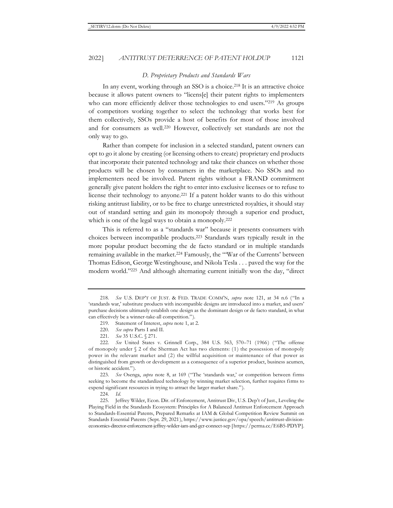#### *D. Proprietary Products and Standards Wars*

In any event, working through an SSO is a choice.<sup>218</sup> It is an attractive choice because it allows patent owners to "licens[e] their patent rights to implementers who can more efficiently deliver those technologies to end users."<sup>219</sup> As groups of competitors working together to select the technology that works best for them collectively, SSOs provide a host of benefits for most of those involved and for consumers as well.220 However, collectively set standards are not the only way to go.

Rather than compete for inclusion in a selected standard, patent owners can opt to go it alone by creating (or licensing others to create) proprietary end products that incorporate their patented technology and take their chances on whether those products will be chosen by consumers in the marketplace. No SSOs and no implementers need be involved. Patent rights without a FRAND commitment generally give patent holders the right to enter into exclusive licenses or to refuse to license their technology to anyone.221 If a patent holder wants to do this without risking antitrust liability, or to be free to charge unrestricted royalties, it should stay out of standard setting and gain its monopoly through a superior end product, which is one of the legal ways to obtain a monopoly.<sup>222</sup>

This is referred to as a "standards war" because it presents consumers with choices between incompatible products.223 Standards wars typically result in the more popular product becoming the de facto standard or in multiple standards remaining available in the market.224 Famously, the "'War of the Currents' between Thomas Edison, George Westinghouse, and Nikola Tesla . . . paved the way for the modern world."225 And although alternating current initially won the day, "direct

<sup>218</sup>*. See* U.S. DEP'T OF JUST. & FED. TRADE COMM'N, *supra* note 121, at 34 n.6 ("In a 'standards war,' substitute products with incompatible designs are introduced into a market, and users' purchase decisions ultimately establish one design as the dominant design or de facto standard, in what can effectively be a winner-take-all competition.").

<sup>219.</sup> Statement of Interest, *supra* note 1, at 2.

<sup>220</sup>*. See supra* Parts I and II.

<sup>221</sup>*. See* 35 U.S.C. § 271.

<sup>222</sup>*. See* United States v. Grinnell Corp., 384 U.S. 563, 570–71 (1966) ("The offense of monopoly under  $\S$  2 of the Sherman Act has two elements: (1) the possession of monopoly power in the relevant market and (2) the willful acquisition or maintenance of that power as distinguished from growth or development as a consequence of a superior product, business acumen, or historic accident.").

<sup>223</sup>*. See* Osenga, *supra* note 8, at 169 ("The 'standards war,' or competition between firms seeking to become the standardized technology by winning market selection, further requires firms to expend significant resources in trying to attract the larger market share.").

<sup>224</sup>*. Id.*

<sup>225.</sup> Jeffrey Wilder, Econ. Dir. of Enforcement, Antitrust Div, U.S. Dep't of Just., Leveling the Playing Field in the Standards Ecosystem: Principles for A Balanced Antitrust Enforcement Approach to Standards-Essential Patents, Prepared Remarks at IAM & Global Competition Review Summit on Standards Essential Patents (Sept. 29, 2021), https://www.justice.gov/opa/speech/antitrust-divisioneconomics-director-enforcement-jeffrey-wilder-iam-and-gcr-connect-sep [https://perma.cc/E6B5-PDYP].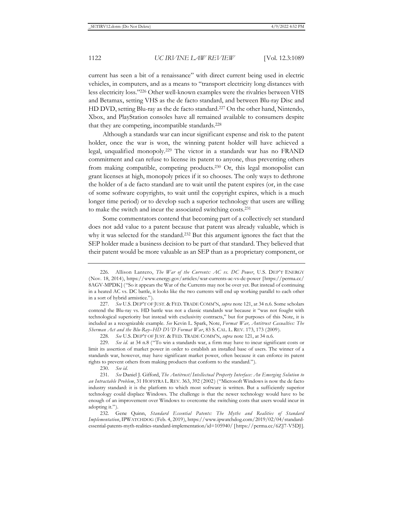current has seen a bit of a renaissance" with direct current being used in electric vehicles, in computers, and as a means to "transport electricity long distances with less electricity loss."226 Other well-known examples were the rivalries between VHS and Betamax, setting VHS as the de facto standard, and between Blu-ray Disc and HD DVD, setting Blu-ray as the de facto standard.227 On the other hand, Nintendo, Xbox, and PlayStation consoles have all remained available to consumers despite that they are competing, incompatible standards.<sup>228</sup>

Although a standards war can incur significant expense and risk to the patent holder, once the war is won, the winning patent holder will have achieved a legal, unqualified monopoly.229 The victor in a standards war has no FRAND commitment and can refuse to license its patent to anyone, thus preventing others from making compatible, competing products.230 Or, this legal monopolist can grant licenses at high, monopoly prices if it so chooses. The only ways to dethrone the holder of a de facto standard are to wait until the patent expires (or, in the case of some software copyrights, to wait until the copyright expires, which is a much longer time period) or to develop such a superior technology that users are willing to make the switch and incur the associated switching costs.231

Some commentators contend that becoming part of a collectively set standard does not add value to a patent because that patent was already valuable, which is why it was selected for the standard.232 But this argument ignores the fact that the SEP holder made a business decision to be part of that standard. They believed that their patent would be more valuable as an SEP than as a proprietary component, or

<sup>226.</sup> Allison Lantero, *The War of the Currents: AC vs. DC Power*, U.S. DEP'T ENERGY (Nov. 18, 2014), https://www.energy.gov/articles/war-currents-ac-vs-dc-power [https://perma.cc/ 8AGV-MPDK] ("So it appears the War of the Currents may not be over yet. But instead of continuing in a heated AC vs. DC battle, it looks like the two currents will end up working parallel to each other in a sort of hybrid armistice.").

<sup>227</sup>*. See* U.S. DEP'T OF JUST. & FED. TRADE COMM'N, *supra* note 121, at 34 n.6. Some scholars contend the Blu-ray vs. HD battle was not a classic standards war because it "was not fought with technological superiority but instead with exclusivity contracts," but for purposes of this Note, it is included as a recognizable example. *See* Kevin L. Spark, Note, *Format War, Antitrust Casualties: The Sherman Act and the Blu-Ray–HD DVD Format War*, 83 S. CAL. L. REV. 173, 173 (2009).

<sup>228</sup>*. See* U.S. DEP'T OF JUST. & FED. TRADE COMM'N, *supra* note 121, at 34 n.6.

<sup>229</sup>*. See id.* at 34 n.8 ("To win a standards war, a firm may have to incur significant costs or limit its assertion of market power in order to establish an installed base of users. The winner of a standards war, however, may have significant market power, often because it can enforce its patent rights to prevent others from making products that conform to the standard.").

<sup>230</sup>*. See id.*

<sup>231</sup>*. See* Daniel J. Gifford, *The Antitrust/Intellectual Property Interface: An Emerging Solution to an Intractable Problem*, 31 HOFSTRA L. REV. 363, 392 (2002) ("Microsoft Windows is now the de facto industry standard: it is the platform to which most software is written. But a sufficiently superior technology could displace Windows. The challenge is that the newer technology would have to be enough of an improvement over Windows to overcome the switching costs that users would incur in adopting it.").

<sup>232.</sup> Gene Quinn, *Standard Essential Patents: The Myths and Realities of Standard Implementation*, IPWATCHDOG (Feb. 4, 2019), https://www.ipwatchdog.com/2019/02/04/standardessential-patents-myth-realities-standard-implementation/id=105940/ [https://perma.cc/6ZJ7-V5DJ].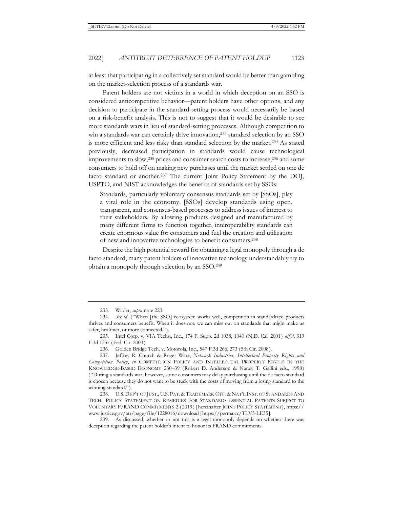at least that participating in a collectively set standard would be better than gambling on the market-selection process of a standards war.

Patent holders are not victims in a world in which deception on an SSO is considered anticompetitive behavior—patent holders have other options, and any decision to participate in the standard-setting process would necessarily be based on a risk-benefit analysis. This is not to suggest that it would be desirable to see more standards wars in lieu of standard-setting processes. Although competition to win a standards war can certainly drive innovation,<sup>233</sup> standard selection by an SSO is more efficient and less risky than standard selection by the market.234 As stated previously, decreased participation in standards would cause technological improvements to slow,235 prices and consumer search costs to increase,236 and some consumers to hold off on making new purchases until the market settled on one de facto standard or another.<sup>237</sup> The current Joint Policy Statement by the DOJ, USPTO, and NIST acknowledges the benefits of standards set by SSOs:

Standards, particularly voluntary consensus standards set by [SSOs], play a vital role in the economy. [SSOs] develop standards using open, transparent, and consensus-based processes to address issues of interest to their stakeholders. By allowing products designed and manufactured by many different firms to function together, interoperability standards can create enormous value for consumers and fuel the creation and utilization of new and innovative technologies to benefit consumers.238

Despite the high potential reward for obtaining a legal monopoly through a de facto standard, many patent holders of innovative technology understandably try to obtain a monopoly through selection by an SSO.239

<sup>233.</sup> Wilder, *supra* note 223.

<sup>234</sup>*. See id.* ("When [the SSO] ecosystem works well, competition in standardized products thrives and consumers benefit. When it does not, we can miss out on standards that might make us safer, healthier, or more connected.").

<sup>235.</sup> Intel Corp. v. VIA Techs., Inc., 174 F. Supp. 2d 1038, 1040 (N.D. Cal. 2001) *aff'd*, 319 F.3d 1357 (Fed. Cir. 2003).

<sup>236.</sup> Golden Bridge Tech. v. Motorola, Inc., 547 F.3d 266, 273 (5th Cir. 2008).

<sup>237.</sup> Jeffrey R. Church & Roger Ware, *Network Industries, Intellectual Property Rights and Competition Policy*, *in* COMPETITION POLICY AND INTELLECTUAL PROPERTY RIGHTS IN THE KNOWLEDGE-BASED ECONOMY 230–39 (Robert D. Anderson & Nancy T. Gallini eds., 1998) ("During a standards war, however, some consumers may delay purchasing until the de facto standard is chosen because they do not want to be stuck with the costs of moving from a losing standard to the winning standard.").

<sup>238.</sup> U.S. DEP'T OF JUST., U.S. PAT. & TRADEMARK OFF. & NAT'L INST. OF STANDARDS AND TECH., POLICY STATEMENT ON REMEDIES FOR STANDARDS-ESSENTIAL PATENTS SUBJECT TO VOLUNTARY F/RAND COMMITMENTS 2 (2019) [hereinafter JOINT POLICY STATEMENT], https:// www.justice.gov/atr/page/file/1228016/download [https://perma.cc/TLV3-LE35].

<sup>239.</sup> As discussed, whether or not this is a legal monopoly depends on whether there was deception regarding the patent holder's intent to honor its FRAND commitments.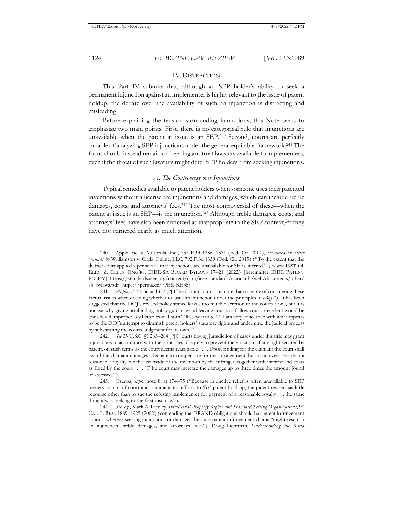#### IV. DISTRACTION

This Part IV submits that, although an SEP holder's ability to seek a permanent injunction against an implementer is highly relevant to the issue of patent holdup, the debate over the availability of such an injunction is distracting and misleading.

Before explaining the tension surrounding injunctions, this Note seeks to emphasize two main points. First, there is no categorical rule that injunctions are unavailable when the patent at issue is an SEP.240 Second, courts are perfectly capable of analyzing SEP injunctions under the general equitable framework.241 The focus should instead remain on keeping antitrust lawsuits available to implementers, even if the threat of such lawsuits might deter SEP holders from seeking injunctions.

### *A. The Controversy over Injunctions*

Typical remedies available to patent holders when someone uses their patented inventions without a license are injunctions and damages, which can include treble damages, costs, and attorneys' fees.242 The most controversial of these—when the patent at issue is an SEP—is the injunction.243 Although treble damages, costs, and attorneys' fees have also been criticized as inappropriate in the SEP context,244 they have not garnered nearly as much attention.

<sup>240.</sup> Apple Inc. v. Motorola, Inc., 757 F.3d 1286, 1331 (Fed. Cir. 2014), *overruled on other grounds by* Williamson v. Citrix Online, LLC, 792 F.3d 1339 (Fed. Cir. 2015) ("To the extent that the district court applied a per se rule that injunctions are unavailable for SEPs, it erred."); *see also* INST. OF ELEC. & ELECS. ENG'RS, IEEE-SA BOARD BYLAWS 17–21 (2022) [hereinafter IEEE PATENT POLICY], https://standards.ieee.org/content/dam/ieee-standards/standards/web/documents/other/ sb\_bylaws.pdf [https://perma.cc/79EE-KE35].

<sup>241</sup>*. Apple*, 757 F.3d at 1332 ("[T]he district courts are more than capable of considering these factual issues when deciding whether to issue an injunction under the principles in *eBay*."). It has been suggested that the DOJ's revised policy stance leaves too much discretion to the courts alone, but it is unclear why giving nonbinding policy guidance and leaving courts to follow court precedent would be considered improper. *See* Letter from Thom Tillis, *supra* note 1("I am very concerned with what appears to be the DOJ's attempt to diminish patent holders' statutory rights and undermine the judicial process by substituting the courts' judgment for its own.").

<sup>242</sup>*. See* 35 U.S.C. §§ 283–284 ("[C]ourts having jurisdiction of cases under this title may grant injunctions in accordance with the principles of equity to prevent the violation of any right secured by patent, on such terms as the court deems reasonable . . . . Upon finding for the claimant the court shall award the claimant damages adequate to compensate for the infringement, but in no event less than a reasonable royalty for the use made of the invention by the infringer, together with interest and costs as fixed by the court . . . . [T]he court may increase the damages up to three times the amount found or assessed.").

<sup>243.</sup> Osenga, *supra* note 8, at 174–75 ("Because injunctive relief is often unavailable to SEP owners as part of court and commentator efforts to 'fix' patent hold-up, the patent owner has little recourse other than to sue the refusing implementer for payment of a reasonable royalty . . . the same thing it was seeking in the first instance.").

<sup>244</sup>*. See, e.g.*, Mark A. Lemley, *Intellectual Property Rights and Standard-Setting Organizations*, 90 CAL. L. REV. 1889, 1925 (2002) (contending that FRAND obligations should bar patent infringement actions, whether seeking injunctions or damages, because patent infringement claims "might result in an injunction, treble damages, and attorneys' fees"); Doug Lichtman, *Understanding the Rand*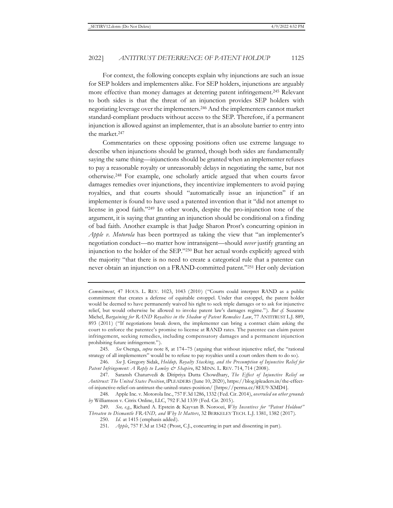For context, the following concepts explain why injunctions are such an issue for SEP holders and implementers alike. For SEP holders, injunctions are arguably more effective than money damages at deterring patent infringement.245 Relevant to both sides is that the threat of an injunction provides SEP holders with negotiating leverage over the implementers.246 And the implementers cannot market standard-compliant products without access to the SEP. Therefore, if a permanent injunction is allowed against an implementer, that is an absolute barrier to entry into the market.247

Commentaries on these opposing positions often use extreme language to describe when injunctions should be granted, though both sides are fundamentally saying the same thing—injunctions should be granted when an implementer refuses to pay a reasonable royalty or unreasonably delays in negotiating the same, but not otherwise.248 For example, one scholarly article argued that when courts favor damages remedies over injunctions, they incentivize implementers to avoid paying royalties, and that courts should "automatically issue an injunction" if an implementer is found to have used a patented invention that it "did not attempt to license in good faith."249 In other words, despite the pro-injunction tone of the argument, it is saying that granting an injunction should be conditional on a finding of bad faith. Another example is that Judge Sharon Prost's concurring opinion in *Apple v. Motorola* has been portrayed as taking the view that "an implementer's negotiation conduct—no matter how intransigent—should *never* justify granting an injunction to the holder of the SEP."250 But her actual words explicitly agreed with the majority "that there is no need to create a categorical rule that a patentee can never obtain an injunction on a FRAND-committed patent."251 Her only deviation

251*. Apple*, 757 F.3d at 1342 (Prost, C.J., concurring in part and dissenting in part).

*Commitment*, 47 HOUS. L. REV. 1023, 1043 (2010) ("Courts could interpret RAND as a public commitment that creates a defense of equitable estoppel. Under that estoppel, the patent holder would be deemed to have permanently waived his right to seek triple damages or to ask for injunctive relief, but would otherwise be allowed to invoke patent law's damages regime."). *But cf.* Suzanne Michel, *Bargaining for RAND Royalties in the Shadow of Patent Remedies Law*, 77 ANTITRUST L.J. 889, 893 (2011) ("If negotiations break down, the implementer can bring a contract claim asking the court to enforce the patentee's promise to license at RAND rates. The patentee can claim patent infringement, seeking remedies, including compensatory damages and a permanent injunction prohibiting future infringement.").

<sup>245</sup>*. See* Osenga, *supra* note 8, at 174–75 (arguing that without injunctive relief, the "rational strategy of all implementers" would be to refuse to pay royalties until a court orders them to do so).

<sup>246</sup>*. See* J. Gregory Sidak, *Holdup, Royalty Stacking, and the Presumption of Injunctive Relief for*  Patent Infringement: A Reply to Lemley & Shapiro, 82 MINN. L. REV. 714, 714 (2008).

<sup>247.</sup> Saransh Chaturvedi & Ditipriya Dutta Chowdhary, *The Effect of Injunctive Relief on Antitrust: The United States Position*, IPLEADERS (June 10, 2020), https://blog.ipleaders.in/the-effectof-injunctive-relief-on-antitrust-the-united-states-position/ [https://perma.cc/8EU9-XMD4].

<sup>248.</sup> Apple Inc. v. Motorola Inc., 757 F.3d 1286, 1332 (Fed. Cir. 2014), *overruled on other grounds by* Williamson v. Citrix Online, LLC, 792 F.3d 1339 (Fed. Cir. 2015).

<sup>249</sup>*. See, e.g.*, Richard A. Epstein & Kayvan B. Noroozi, *Why Incentives for "Patent Holdout" Threaten to Dismantle FRAND, and Why It Matters*, 32 BERKELEY TECH. L.J. 1381, 1382 (2017).

<sup>250</sup>*. Id.* at 1415 (emphasis added).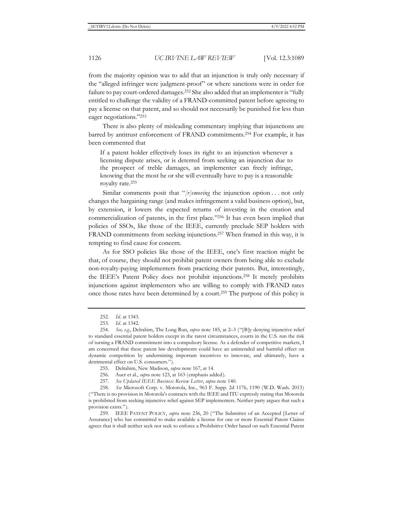from the majority opinion was to add that an injunction is truly only necessary if the "alleged infringer were judgment-proof" or where sanctions were in order for failure to pay court-ordered damages.252 She also added that an implementer is "fully entitled to challenge the validity of a FRAND-committed patent before agreeing to pay a license on that patent, and so should not necessarily be punished for less than eager negotiations."253

There is also plenty of misleading commentary implying that injunctions are barred by antitrust enforcement of FRAND commitments.254 For example, it has been commented that

If a patent holder effectively loses its right to an injunction whenever a licensing dispute arises, or is deterred from seeking an injunction due to the prospect of treble damages, an implementer can freely infringe, knowing that the most he or she will eventually have to pay is a reasonable royalty rate.255

Similar comments posit that "*[r]emoving* the injunction option . . . not only changes the bargaining range (and makes infringement a valid business option), but, by extension, it lowers the expected returns of investing in the creation and commercialization of patents, in the first place."256 It has even been implied that policies of SSOs, like those of the IEEE, currently preclude SEP holders with FRAND commitments from seeking injunctions.257 When framed in this way, it is tempting to find cause for concern.

As for SSO policies like those of the IEEE, one's first reaction might be that, of course, they should not prohibit patent owners from being able to exclude non-royalty-paying implementers from practicing their patents. But, interestingly, the IEEE's Patent Policy does not prohibit injunctions.258 It merely prohibits injunctions against implementers who are willing to comply with FRAND rates once those rates have been determined by a court.259 The purpose of this policy is

257*. See Updated IEEE Business Review Letter*, *supra* note 140.

<sup>252</sup>*. Id.* at 1343.

<sup>253</sup>*. Id.* at 1342.

<sup>254</sup>*. See, e.g.*, Delrahim, The Long Run, *supra* note 185, at 2–3 ("[B]y denying injunctive relief to standard essential patent holders except in the rarest circumstances, courts in the U.S. run the risk of turning a FRAND commitment into a compulsory license. As a defender of competitive markets, I am concerned that these patent law developments could have an unintended and harmful effect on dynamic competition by undermining important incentives to innovate, and ultimately, have a detrimental effect on U.S. consumers.").

<sup>255.</sup> Delrahim, New Madison, *supra* note 167, at 14.

<sup>256.</sup> Auer et al., *supra* note 123, at 163 (emphasis added).

<sup>258</sup>*. See* Microsoft Corp. v. Motorola, Inc., 963 F. Supp. 2d 1176, 1190 (W.D. Wash. 2013) ("There is no provision in Motorola's contracts with the IEEE and ITU expressly stating that Motorola is prohibited from seeking injunctive relief against SEP implementers. Neither party argues that such a provision exists.").

<sup>259.</sup> IEEE PATENT POLICY, *supra* note 236, 20 ("The Submitter of an Accepted [Letter of Assurance] who has committed to make available a license for one or more Essential Patent Claims agrees that it shall neither seek nor seek to enforce a Prohibitive Order based on such Essential Patent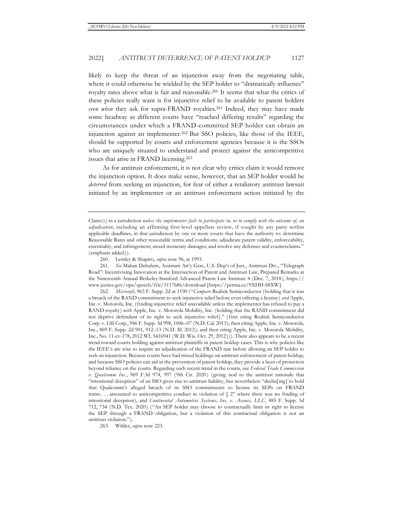likely to keep the threat of an injunction away from the negotiating table, where it could otherwise be wielded by the SEP holder to "dramatically influence" royalty rates above what is fair and reasonable.260 It seems that what the critics of these policies really want is for injunctive relief to be available to patent holders *even when* they ask for supra-FRAND royalties.261 Indeed, they may have made some headway as different courts have "reached differing results" regarding the circumstances under which a FRAND-committed SEP holder can obtain an injunction against an implementer.262 But SSO policies, like those of the IEEE, should be supported by courts and enforcement agencies because it is the SSOs who are uniquely situated to understand and protect against the anticompetitive issues that arise in FRAND licensing.263

As for antitrust enforcement, it is not clear why critics claim it would remove the injunction option. It does make sense, however, that an SEP holder would be *deterred* from seeking an injunction, for fear of either a retaliatory antitrust lawsuit initiated by an implementer or an antitrust enforcement action initiated by the

263. Wilder, *supra* note 223.

Claim(s) in a jurisdiction *unless the implementer fails to participate in, or to comply with the outcome of, an adjudication*, including an affirming first-level appellate review, if sought by any party within applicable deadlines, in that jurisdiction by one or more courts that have the authority to: determine Reasonable Rates and other reasonable terms and conditions; adjudicate patent validity, enforceability, essentiality, and infringement; award monetary damages; and resolve any defenses and counterclaims." (emphasis added)).

<sup>260.</sup> Lemley & Shapiro, *supra* note 96, at 1993.

<sup>261</sup>*. See* Makan Delrahim, Assistant Att'y Gen., U.S. Dep't of Just., Antitrust Div., "Telegraph Road": Incentivizing Innovation at the Intersection of Patent and Antitrust Law, Prepared Remarks at the Nineteenth Annual Berkeley-Stanford Advanced Patent Law Institute 4 (Dec. 7, 2018), https:// www.justice.gov/opa/speech/file/1117686/download [https://perma.cc/9XHH-S8XW].

<sup>262</sup>*. Microsoft*, 963 F. Supp. 2d at 1190 ("*Compare* Realtek Semiconductor (holding that it was a breach of the RAND commitment to seek injunctive relief before even offering a license) *and* Apple, Inc. v. Motorola, Inc. (finding injunctive relief unavailable unless the implementer has refused to pay a RAND royalty) *with* Apple, Inc. v. Motorola Mobility, Inc. (holding that the RAND commitment did not deprive defendant of its right to seek injunctive relief)." (first citing Realtek Semiconductor Corp. v. LSI Corp., 946 F. Supp. 3d 998, 1006–07 (N.D. Cal. 2013); then citing Apple, Inc. v. Motorola, Inc., 869 F. Supp. 2d 901, 912–13 (N.D. Ill. 2012); and then citing Apple, Inc. v. Motorola Mobility, Inc., No. 11-cv-178, 2012 WL 5416941 (W.D. Wis. Oct. 29, 2012))). There also appears to be a recent trend toward courts holding against antitrust plaintiffs in patent holdup cases. This is why policies like the IEEE's are wise to require an adjudication of the FRAND rate before allowing an SEP holder to seek an injunction. Because courts have had mixed holdings on antitrust enforcement of patent holdup, and because SSO policies can aid in the prevention of patent holdup, they provide a layer of protection beyond reliance on the courts. Regarding such recent trend in the courts, see *Federal Trade Commission v. Qualcomm Inc.*, 969 F.3d 974, 997 (9th Cir. 2020) (giving nod to the antitrust rationale that "intentional deception" of an SSO gives rise to antitrust liability, but nevertheless "declin[ing] to hold that Qualcomm's alleged breach of its SSO commitments to license its SEPs on FRAND terms . . . amounted to anticompetitive conduct in violation of § 2" where there was no finding of intentional deception), and *Continental Automotive Systems, Inc. v. Avanci, LLC*, 485 F. Supp. 3d 712, 734 (N.D. Tex. 2020) ("An SEP holder may choose to contractually limit its right to license the SEP through a FRAND obligation, but a violation of this contractual obligation is not an antitrust violation.").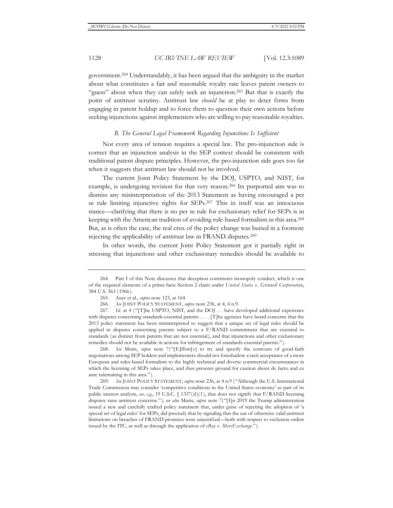government.264 Understandably, it has been argued that the ambiguity in the market about what constitutes a fair and reasonable royalty rate leaves patent owners to "guess" about when they can safely seek an injunction.<sup>265</sup> But that is exactly the point of antitrust scrutiny. Antitrust law *should* be at play to deter firms from engaging in patent holdup and to force them to question their own actions before seeking injunctions against implementers who are willing to pay reasonable royalties.

### *B. The General Legal Framework Regarding Injunctions Is Sufficient*

Not every area of tension requires a special law. The pro-injunction side is correct that an injunction analysis in the SEP context should be consistent with traditional patent dispute principles. However, the pro-injunction side goes too far when it suggests that antitrust law should not be involved.

The current Joint Policy Statement by the DOJ, USPTO, and NIST, for example, is undergoing revision for that very reason.266 Its purported aim was to dismiss any misinterpretation of the 2013 Statement as having encouraged a per se rule limiting injunctive rights for SEPs.267 This in itself was an innocuous stance—clarifying that there is no per se rule for exclusionary relief for SEPs is in keeping with the American tradition of avoiding rule-based formalism in this area.268 But, as is often the case, the real crux of the policy change was buried in a footnote rejecting the applicability of antitrust law in FRAND disputes.269

In other words, the current Joint Policy Statement got it partially right in stressing that injunctions and other exclusionary remedies should be available to

268*. See* Muris, *supra* note 7("[E]ffort[s] to try and specify the contours of good-faith negotiations among SEP holders and implementers should not foreshadow a tacit acceptance of a more European and rules-based formalism to the highly technical and diverse commercial circumstances in which the licensing of SEPs takes place, and thus presents ground for caution about de facto and ex ante rulemaking in this area.").

269*. See* JOINT POLICY STATEMENT, *supra* note 236, at 4 n.9 ("Although the U.S. International Trade Commission may consider 'competitive conditions in the United States economy' as part of its public interest analysis, *see, e.g.*, 19 U.S.C. § 1337(d)(1), that does not signify that F/RAND licensing disputes raise antitrust concerns."); *see also* Muris, *supra* note 7("[I]n 2019 the Trump administration issued a new and carefully crafted policy statement that, under guise of rejecting the adoption of 'a special set of legal rules' for SEPs, did precisely that by signaling that the use of otherwise valid antitrust limitations on breaches of FRAND promises were unjustified—both with respect to exclusion orders issued by the ITC, as well as through the application of *eBay v. MercExchange*.").

<sup>264.</sup> Part I of this Note discusses that deception constitutes monopoly conduct, which is one of the required elements of a prima facie Section 2 claim under *United States v. Grinnell Corporation*, 384 U.S. 563 (1966).

<sup>265.</sup> Auer et al., *supra* note 123, at 164.

<sup>266</sup>*. See* JOINT POLICY STATEMENT, *supra* note 236, at 4, 4 n.9.

<sup>267.</sup> *Id.* at 4 ("[T]he USPTO, NIST, and the DOJ ... have developed additional experience with disputes concerning standards-essential patents . . . . [T]he agencies have heard concerns that the 2013 policy statement has been misinterpreted to suggest that a unique set of legal rules should be applied in disputes concerning patents subject to a F/RAND commitment that are essential to standards (as distinct from patents that are not essential), and that injunctions and other exclusionary remedies should not be available in actions for infringement of standards-essential patents.").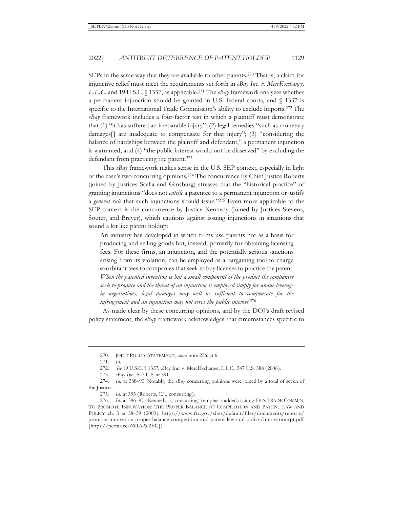SEPs in the same way that they are available to other patents.270 That is, a claim for injunctive relief must meet the requirements set forth in *eBay Inc. v. MercExchange, L.L.C.* and 19 U.S.C. § 1337, as applicable.271 The *eBay* framework analyzes whether a permanent injunction should be granted in U.S. federal courts, and § 1337 is specific to the International Trade Commission's ability to exclude imports.272 The *eBay* framework includes a four-factor test in which a plaintiff must demonstrate that (1) "it has suffered an irreparable injury"; (2) legal remedies "such as monetary damages[] are inadequate to compensate for that injury"; (3) "considering the balance of hardships between the plaintiff and defendant," a permanent injunction is warranted; and (4) "the public interest would not be disserved" by excluding the defendant from practicing the patent.<sup>273</sup>

This *eBay* framework makes sense in the U.S. SEP context, especially in light of the case's two concurring opinions.274 The concurrence by Chief Justice Roberts (joined by Justices Scalia and Ginsburg) stresses that the "historical practice" of granting injunctions "does not *entitle* a patentee to a permanent injunction or justify a *general rule* that such injunctions should issue."275 Even more applicable to the SEP context is the concurrence by Justice Kennedy (joined by Justices Stevens, Souter, and Breyer), which cautions against issuing injunctions in situations that sound a lot like patent holdup:

An industry has developed in which firms use patents not as a basis for producing and selling goods but, instead, primarily for obtaining licensing fees. For these firms, an injunction, and the potentially serious sanctions arising from its violation, can be employed as a bargaining tool to charge exorbitant fees to companies that seek to buy licenses to practice the patent. *When the patented invention is but a small component of the product the companies seek to produce and the threat of an injunction is employed simply for undue leverage in negotiations, legal damages may well be sufficient to compensate for the infringement and an injunction may not serve the public interest*. 276

As made clear by these concurring opinions, and by the DOJ's draft revised policy statement, the *eBay* framework acknowledges that circumstances specific to

<sup>270.</sup> JOINT POLICY STATEMENT, *supra* note 236, at 6.

<sup>271</sup>*. Id.*

<sup>272</sup>*. See* 19 U.S.C. § 1337; eBay Inc. v. MercExchange, L.L.C., 547 U.S. 388 (2006).

<sup>273</sup>*. eBay Inc.*, 547 U.S. at 391.

<sup>274</sup>*. Id.* at 388–90. Notably, the *eBay* concurring opinions were joined by a total of seven of the Justices.

<sup>275</sup>*. Id.* at 395 (Roberts, C.J., concurring).

<sup>276</sup>*. Id.* at 396–97 (Kennedy, J., concurring) (emphasis added) (citing FED. TRADE COMM'N, TO PROMOTE INNOVATION: THE PROPER BALANCE OF COMPETITION AND PATENT LAW AND POLICY ch. 3 at 38–39 (2003), https://www.ftc.gov/sites/default/files/documents/reports/ promote-innovation-proper-balance-competition-and-patent-law-and-policy/innovationrpt.pdf [https://perma.cc/6YL6-W2EC]).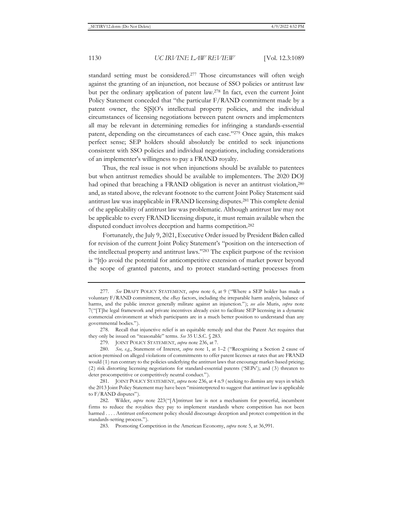standard setting must be considered.277 Those circumstances will often weigh against the granting of an injunction, not because of SSO policies or antitrust law but per the ordinary application of patent law.278 In fact, even the current Joint Policy Statement conceded that "the particular F/RAND commitment made by a patent owner, the S[S]O's intellectual property policies, and the individual circumstances of licensing negotiations between patent owners and implementers all may be relevant in determining remedies for infringing a standards-essential patent, depending on the circumstances of each case."279 Once again, this makes perfect sense; SEP holders should absolutely be entitled to seek injunctions consistent with SSO policies and individual negotiations, including considerations of an implementer's willingness to pay a FRAND royalty.

Thus, the real issue is not when injunctions should be available to patentees but when antitrust remedies should be available to implementers. The 2020 DOJ had opined that breaching a FRAND obligation is never an antitrust violation,<sup>280</sup> and, as stated above, the relevant footnote to the current Joint Policy Statement said antitrust law was inapplicable in FRAND licensing disputes.281 This complete denial of the applicability of antitrust law was problematic. Although antitrust law may not be applicable to every FRAND licensing dispute, it must remain available when the disputed conduct involves deception and harms competition.282

Fortunately, the July 9, 2021, Executive Order issued by President Biden called for revision of the current Joint Policy Statement's "position on the intersection of the intellectual property and antitrust laws."283 The explicit purpose of the revision is "[t]o avoid the potential for anticompetitive extension of market power beyond the scope of granted patents, and to protect standard-setting processes from

<sup>277</sup>*. See* DRAFT POLICY STATEMENT, *supra* note 6, at 9 ("Where a SEP holder has made a voluntary F/RAND commitment, the *eBay* factors, including the irreparable harm analysis, balance of harms, and the public interest generally militate against an injunction."); *see also* Muris, *supra* note 7("[T]he legal framework and private incentives already exist to facilitate SEP licensing in a dynamic commercial environment at which participants are in a much better position to understand than any governmental bodies.").

<sup>278.</sup> Recall that injunctive relief is an equitable remedy and that the Patent Act requires that they only be issued on "reasonable" terms. *See* 35 U.S.C. § 283.

<sup>279.</sup> JOINT POLICY STATEMENT, *supra* note 236, at 7.

<sup>280</sup>*. See, e.g.*, Statement of Interest, *supra* note 1, at 1–2 ("Recognizing a Section 2 cause of action premised on alleged violations of commitments to offer patent licenses at rates that are FRAND would (1) run contrary to the policies underlying the antitrust laws that encourage market-based pricing; (2) risk distorting licensing negotiations for standard-essential patents ('SEPs'); and (3) threaten to deter procompetitive or competitively neutral conduct.").

<sup>281.</sup> JOINT POLICY STATEMENT, *supra* note 236, at 4 n.9 (seeking to dismiss any ways in which the 2013 Joint Policy Statement may have been "misinterpreted to suggest that antitrust law is applicable to F/RAND disputes").

<sup>282.</sup> Wilder, *supra* note 223("[A]ntitrust law is not a mechanism for powerful, incumbent firms to reduce the royalties they pay to implement standards where competition has not been harmed . . . . Antitrust enforcement policy should discourage deception and protect competition in the standards-setting process.").

<sup>283.</sup> Promoting Competition in the American Economy, *supra* note 5, at 36,991.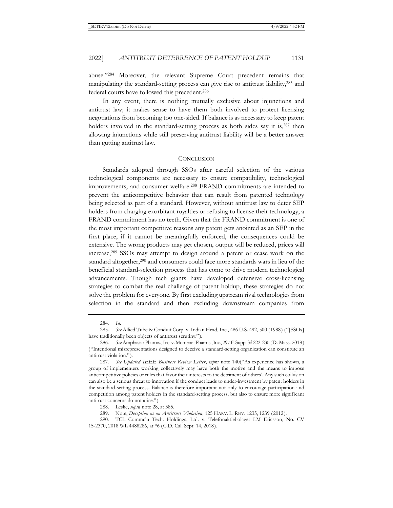abuse."284 Moreover, the relevant Supreme Court precedent remains that manipulating the standard-setting process can give rise to antitrust liability,285 and federal courts have followed this precedent.286

In any event, there is nothing mutually exclusive about injunctions and antitrust law; it makes sense to have them both involved to protect licensing negotiations from becoming too one-sided. If balance is as necessary to keep patent holders involved in the standard-setting process as both sides say it is,<sup>287</sup> then allowing injunctions while still preserving antitrust liability will be a better answer than gutting antitrust law.

#### **CONCLUSION**

Standards adopted through SSOs after careful selection of the various technological components are necessary to ensure compatibility, technological improvements, and consumer welfare.288 FRAND commitments are intended to prevent the anticompetitive behavior that can result from patented technology being selected as part of a standard. However, without antitrust law to deter SEP holders from charging exorbitant royalties or refusing to license their technology, a FRAND commitment has no teeth. Given that the FRAND commitment is one of the most important competitive reasons any patent gets anointed as an SEP in the first place, if it cannot be meaningfully enforced, the consequences could be extensive. The wrong products may get chosen, output will be reduced, prices will increase,289 SSOs may attempt to design around a patent or cease work on the standard altogether,290 and consumers could face more standards wars in lieu of the beneficial standard-selection process that has come to drive modern technological advancements. Though tech giants have developed defensive cross-licensing strategies to combat the real challenge of patent holdup, these strategies do not solve the problem for everyone. By first excluding upstream rival technologies from selection in the standard and then excluding downstream companies from

<sup>284</sup>*. Id.* 

<sup>285</sup>*. See* Allied Tube & Conduit Corp. v. Indian Head, Inc., 486 U.S. 492, 500 (1988) ("[SSOs] have traditionally been objects of antitrust scrutiny.").

<sup>286</sup>*. See* Amphastar Pharms., Inc. v. Momenta Pharms., Inc., 297 F. Supp. 3d 222, 230 (D. Mass. 2018) ("Intentional misrepresentations designed to deceive a standard-setting organization can constitute an antitrust violation.").

<sup>287</sup>*. See Updated IEEE Business Review Letter*, *supra* note 140("As experience has shown, a group of implementers working collectively may have both the motive and the means to impose anticompetitive policies or rules that favor their interests to the detriment of others'. Any such collusion can also be a serious threat to innovation if the conduct leads to under-investment by patent holders in the standard-setting process. Balance is therefore important not only to encourage participation and competition among patent holders in the standard-setting process, but also to ensure more significant antitrust concerns do not arise.").

<sup>288.</sup> Leslie, *supra* note 28, at 385.

<sup>289.</sup> Note, *Deception as an Antitrust Violation*, 125 HARV. L. REV. 1235, 1239 (2012).

<sup>290.</sup> TCL Commc'n Tech. Holdings, Ltd. v. Telefonaktiebolaget LM Ericsson, No. CV 15-2370, 2018 WL 4488286, at \*6 (C.D. Cal. Sept. 14, 2018).